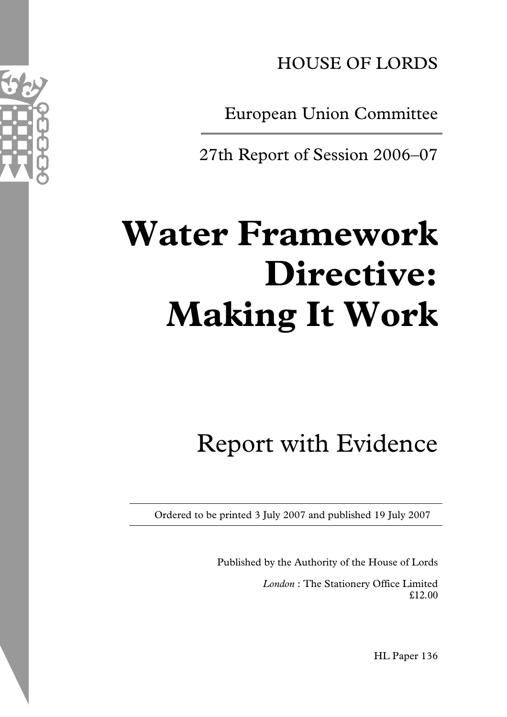

European Union Committee

27th Report of Session 2006–07

# **Water Framework Directive: Making It Work**

## Report with Evidence

Ordered to be printed 3 July 2007 and published 19 July 2007

Published by the Authority of the House of Lords

*London* : The Stationery Office Limited £12.00

HL Paper 136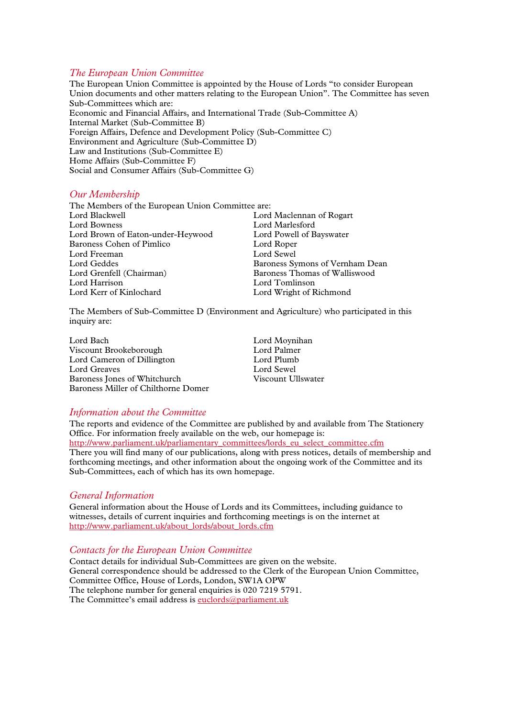#### *The European Union Committee*

The European Union Committee is appointed by the House of Lords "to consider European Union documents and other matters relating to the European Union". The Committee has seven Sub-Committees which are: Economic and Financial Affairs, and International Trade (Sub-Committee A) Internal Market (Sub-Committee B) Foreign Affairs, Defence and Development Policy (Sub-Committee C) Environment and Agriculture (Sub-Committee D) Law and Institutions (Sub-Committee E) Home Affairs (Sub-Committee F) Social and Consumer Affairs (Sub-Committee G)

#### *Our Membership*

The Members of the European Union Committee are: Lord Maclennan of Rogart Lord Bowness Lord Marlesford Lord Brown of Eaton-under-Heywood Lord Powell of Bayswater Baroness Cohen of Pimlico Lord Roper<br>
Lord Freeman Lord Sewel Lord Freeman<br>Lord Geddes Baroness Symons of Vernham Dean<br>Baroness Thomas of Walliswood Lord Grenfell (Chairman) Lord Harrison Lord Tomlinson Lord Wright of Richmond

The Members of Sub-Committee D (Environment and Agriculture) who participated in this inquiry are:

Lord Bach<br>
Viscount Brookeborough<br>
Lord Palmer<br>
Lord Palmer Viscount Brookeborough Lord Palmer<br>
Lord Cameron of Dillington Lord Plumb Lord Cameron of Dillington Lord Plumb<br>
Lord Greaves Lord Sewel Lord Greaves<br>
Baroness Iones of Whitchurch<br>
Viscount Ullswater Baroness Jones of Whitchurch Baroness Miller of Chilthorne Domer

#### *Information about the Committee*

The reports and evidence of the Committee are published by and available from The Stationery Office. For information freely available on the web, our homepage is: http://www.parliament.uk/parliamentary\_committees/lords\_eu\_select\_committee.cfm There you will find many of our publications, along with press notices, details of membership and forthcoming meetings, and other information about the ongoing work of the Committee and its Sub-Committees, each of which has its own homepage.

#### *General Information*

General information about the House of Lords and its Committees, including guidance to witnesses, details of current inquiries and forthcoming meetings is on the internet at http://www.parliament.uk/about\_lords/about\_lords.cfm

#### *Contacts for the European Union Committee*

Contact details for individual Sub-Committees are given on the website. General correspondence should be addressed to the Clerk of the European Union Committee, Committee Office, House of Lords, London, SW1A OPW The telephone number for general enquiries is 020 7219 5791. The Committee's email address is euclords@parliament.uk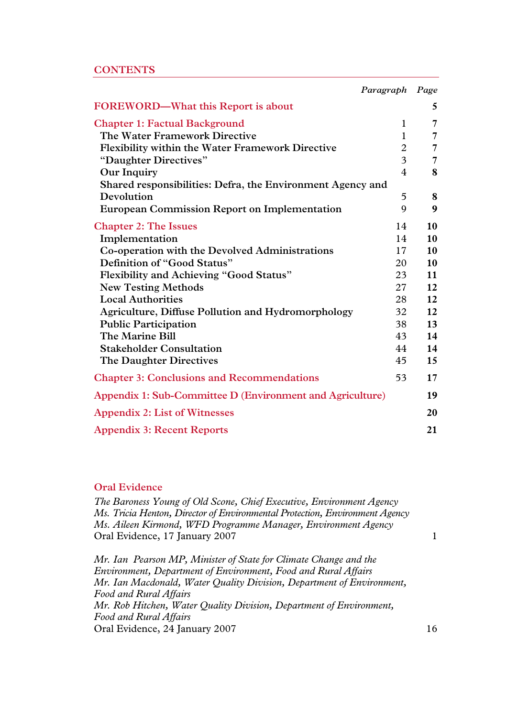|                                                            | Paragraph      | Page           |
|------------------------------------------------------------|----------------|----------------|
| <b>FOREWORD—What this Report is about</b>                  |                | 5              |
| <b>Chapter 1: Factual Background</b>                       | $\mathbf{1}$   | 7              |
| The Water Framework Directive                              | $\mathbf{1}$   | 7              |
| <b>Flexibility within the Water Framework Directive</b>    | $\overline{2}$ | $\overline{7}$ |
| "Daughter Directives"                                      | $\overline{3}$ | 7              |
| <b>Our Inquiry</b>                                         | $\overline{4}$ | 8              |
| Shared responsibilities: Defra, the Environment Agency and |                |                |
| Devolution                                                 | 5              | 8              |
| <b>European Commission Report on Implementation</b>        | 9              | 9              |
| <b>Chapter 2: The Issues</b>                               | 14             | 10             |
| Implementation                                             | 14             | 10             |
| Co-operation with the Devolved Administrations             | 17             | 10             |
| Definition of "Good Status"                                | 20             | 10             |
| <b>Flexibility and Achieving "Good Status"</b>             | 23             | 11             |
| <b>New Testing Methods</b>                                 | 27             | 12             |
| <b>Local Authorities</b>                                   | 28             | 12             |
| <b>Agriculture, Diffuse Pollution and Hydromorphology</b>  | 32             | 12             |
| <b>Public Participation</b>                                | 38             | 13             |
| The Marine Bill                                            | 43             | 14             |
| <b>Stakeholder Consultation</b>                            | 44             | 14             |
| The Daughter Directives                                    | 45             | 15             |
| <b>Chapter 3: Conclusions and Recommendations</b>          | 53             | 17             |
| Appendix 1: Sub-Committee D (Environment and Agriculture)  |                | 19             |
| <b>Appendix 2: List of Witnesses</b>                       |                | 20             |
| <b>Appendix 3: Recent Reports</b>                          |                | 21             |

#### **Oral Evidence**

*The Baroness Young of Old Scone, Chief Executive, Environment Agency Ms. Tricia Henton, Director of Environmental Protection, Environment Agency Ms. Aileen Kirmond, WFD Programme Manager, Environment Agency*  Oral Evidence, 17 January 2007 1

*Mr. Ian Pearson MP, Minister of State for Climate Change and the Environment, Department of Environment, Food and Rural Affairs Mr. Ian Macdonald, Water Quality Division, Department of Environment, Food and Rural Affairs Mr. Rob Hitchen, Water Quality Division, Department of Environment, Food and Rural Affairs*  Oral Evidence, 24 January 2007 16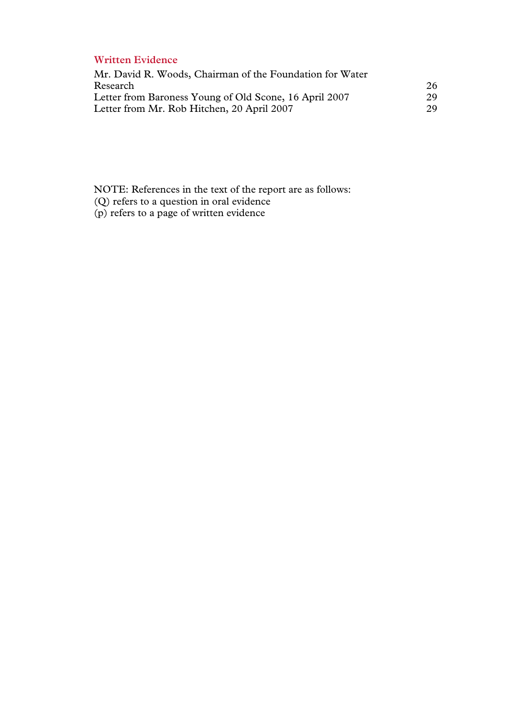#### **Written Evidence**

| Mr. David R. Woods, Chairman of the Foundation for Water |    |
|----------------------------------------------------------|----|
| Research                                                 | 26 |
| Letter from Baroness Young of Old Scone, 16 April 2007   | 29 |
| Letter from Mr. Rob Hitchen, 20 April 2007               | 29 |

NOTE: References in the text of the report are as follows:

- (Q) refers to a question in oral evidence
- (p) refers to a page of written evidence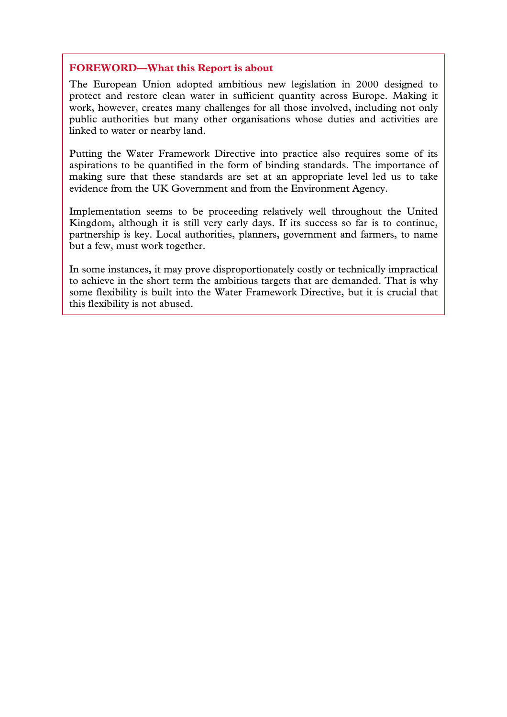#### **FOREWORD—What this Report is about**

The European Union adopted ambitious new legislation in 2000 designed to protect and restore clean water in sufficient quantity across Europe. Making it work, however, creates many challenges for all those involved, including not only public authorities but many other organisations whose duties and activities are linked to water or nearby land.

Putting the Water Framework Directive into practice also requires some of its aspirations to be quantified in the form of binding standards. The importance of making sure that these standards are set at an appropriate level led us to take evidence from the UK Government and from the Environment Agency.

Implementation seems to be proceeding relatively well throughout the United Kingdom, although it is still very early days. If its success so far is to continue, partnership is key. Local authorities, planners, government and farmers, to name but a few, must work together.

In some instances, it may prove disproportionately costly or technically impractical to achieve in the short term the ambitious targets that are demanded. That is why some flexibility is built into the Water Framework Directive, but it is crucial that this flexibility is not abused.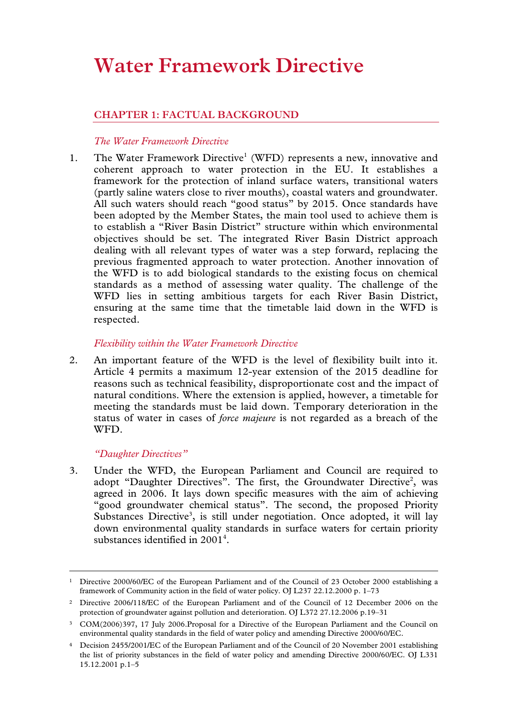## **Water Framework Directive**

#### **CHAPTER 1: FACTUAL BACKGROUND**

#### *The Water Framework Directive*

1. The Water Framework Directive<sup>1</sup> (WFD) represents a new, innovative and coherent approach to water protection in the EU. It establishes a framework for the protection of inland surface waters, transitional waters (partly saline waters close to river mouths), coastal waters and groundwater. All such waters should reach "good status" by 2015. Once standards have been adopted by the Member States, the main tool used to achieve them is to establish a "River Basin District" structure within which environmental objectives should be set. The integrated River Basin District approach dealing with all relevant types of water was a step forward, replacing the previous fragmented approach to water protection. Another innovation of the WFD is to add biological standards to the existing focus on chemical standards as a method of assessing water quality. The challenge of the WFD lies in setting ambitious targets for each River Basin District, ensuring at the same time that the timetable laid down in the WFD is respected.

#### *Flexibility within the Water Framework Directive*

2. An important feature of the WFD is the level of flexibility built into it. Article 4 permits a maximum 12-year extension of the 2015 deadline for reasons such as technical feasibility, disproportionate cost and the impact of natural conditions. Where the extension is applied, however, a timetable for meeting the standards must be laid down. Temporary deterioration in the status of water in cases of *force majeure* is not regarded as a breach of the WFD.

#### *"Daughter Directives"*

3. Under the WFD, the European Parliament and Council are required to adopt "Daughter Directives". The first, the Groundwater Directive<sup>2</sup>, was agreed in 2006. It lays down specific measures with the aim of achieving "good groundwater chemical status". The second, the proposed Priority Substances Directive<sup>3</sup>, is still under negotiation. Once adopted, it will lay down environmental quality standards in surface waters for certain priority substances identified in  $2001<sup>4</sup>$ .

 <sup>1</sup> Directive 2000/60/EC of the European Parliament and of the Council of 23 October 2000 establishing a framework of Community action in the field of water policy. OJ L237 22.12.2000 p. 1–73

<sup>2</sup> Directive 2006/118/EC of the European Parliament and of the Council of 12 December 2006 on the protection of groundwater against pollution and deterioration. OJ L372 27.12.2006 p.19–31

<sup>3</sup> COM(2006)397, 17 July 2006.Proposal for a Directive of the European Parliament and the Council on environmental quality standards in the field of water policy and amending Directive 2000/60/EC.

<sup>4</sup> Decision 2455/2001/EC of the European Parliament and of the Council of 20 November 2001 establishing the list of priority substances in the field of water policy and amending Directive 2000/60/EC. OJ L331 15.12.2001 p.1–5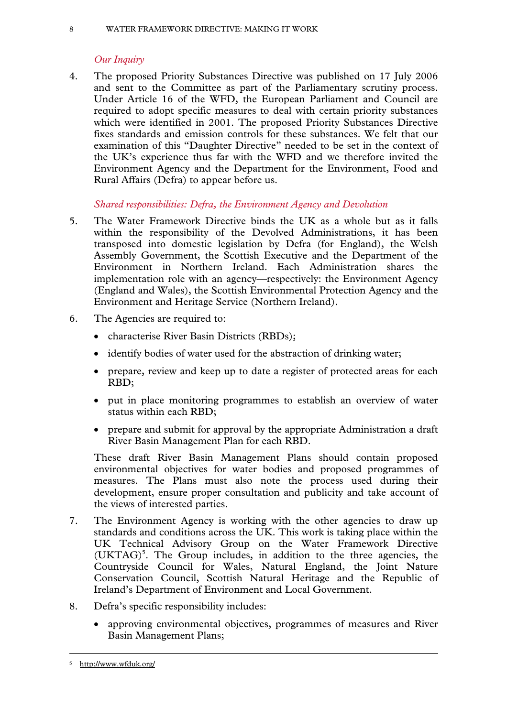#### 8 WATER FRAMEWORK DIRECTIVE: MAKING IT WORK

#### *Our Inquiry*

4. The proposed Priority Substances Directive was published on 17 July 2006 and sent to the Committee as part of the Parliamentary scrutiny process. Under Article 16 of the WFD, the European Parliament and Council are required to adopt specific measures to deal with certain priority substances which were identified in 2001. The proposed Priority Substances Directive fixes standards and emission controls for these substances. We felt that our examination of this "Daughter Directive" needed to be set in the context of the UK's experience thus far with the WFD and we therefore invited the Environment Agency and the Department for the Environment, Food and Rural Affairs (Defra) to appear before us.

*Shared responsibilities: Defra, the Environment Agency and Devolution* 

- 5. The Water Framework Directive binds the UK as a whole but as it falls within the responsibility of the Devolved Administrations, it has been transposed into domestic legislation by Defra (for England), the Welsh Assembly Government, the Scottish Executive and the Department of the Environment in Northern Ireland. Each Administration shares the implementation role with an agency—respectively: the Environment Agency (England and Wales), the Scottish Environmental Protection Agency and the Environment and Heritage Service (Northern Ireland).
- 6. The Agencies are required to:
	- characterise River Basin Districts (RBDs);
	- identify bodies of water used for the abstraction of drinking water;
	- prepare, review and keep up to date a register of protected areas for each RBD;
	- put in place monitoring programmes to establish an overview of water status within each RBD;
	- prepare and submit for approval by the appropriate Administration a draft River Basin Management Plan for each RBD.

These draft River Basin Management Plans should contain proposed environmental objectives for water bodies and proposed programmes of measures. The Plans must also note the process used during their development, ensure proper consultation and publicity and take account of the views of interested parties.

- 7. The Environment Agency is working with the other agencies to draw up standards and conditions across the UK. This work is taking place within the UK Technical Advisory Group on the Water Framework Directive (UKTAG)<sup>5</sup>. The Group includes, in addition to the three agencies, the Countryside Council for Wales, Natural England, the Joint Nature Conservation Council, Scottish Natural Heritage and the Republic of Ireland's Department of Environment and Local Government.
- 8. Defra's specific responsibility includes:
	- approving environmental objectives, programmes of measures and River Basin Management Plans;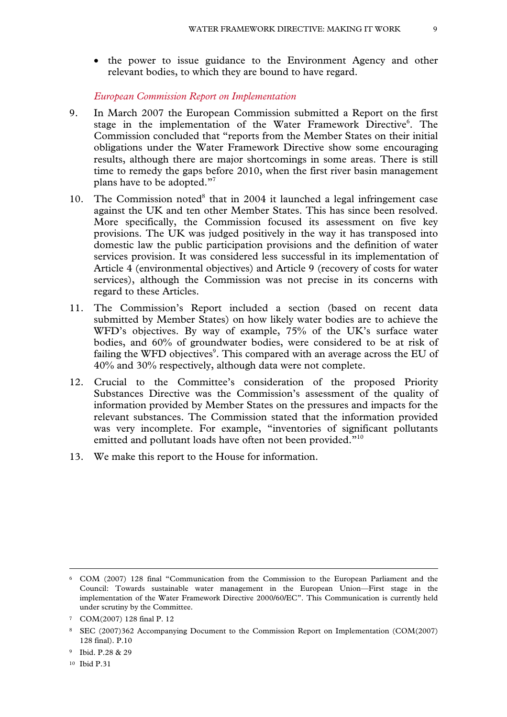• the power to issue guidance to the Environment Agency and other relevant bodies, to which they are bound to have regard.

*European Commission Report on Implementation* 

- 9. In March 2007 the European Commission submitted a Report on the first stage in the implementation of the Water Framework Directive<sup>6</sup>. The Commission concluded that "reports from the Member States on their initial obligations under the Water Framework Directive show some encouraging results, although there are major shortcomings in some areas. There is still time to remedy the gaps before 2010, when the first river basin management plans have to be adopted."7
- 10. The Commission noted $8$  that in 2004 it launched a legal infringement case against the UK and ten other Member States. This has since been resolved. More specifically, the Commission focused its assessment on five key provisions. The UK was judged positively in the way it has transposed into domestic law the public participation provisions and the definition of water services provision. It was considered less successful in its implementation of Article 4 (environmental objectives) and Article 9 (recovery of costs for water services), although the Commission was not precise in its concerns with regard to these Articles.
- 11. The Commission's Report included a section (based on recent data submitted by Member States) on how likely water bodies are to achieve the WFD's objectives. By way of example, 75% of the UK's surface water bodies, and 60% of groundwater bodies, were considered to be at risk of failing the WFD objectives $\degree$ . This compared with an average across the EU of 40% and 30% respectively, although data were not complete.
- 12. Crucial to the Committee's consideration of the proposed Priority Substances Directive was the Commission's assessment of the quality of information provided by Member States on the pressures and impacts for the relevant substances. The Commission stated that the information provided was very incomplete. For example, "inventories of significant pollutants emitted and pollutant loads have often not been provided."<sup>10</sup>
- 13. We make this report to the House for information.

 <sup>6</sup> COM (2007) 128 final "Communication from the Commission to the European Parliament and the Council: Towards sustainable water management in the European Union—First stage in the implementation of the Water Framework Directive 2000/60/EC". This Communication is currently held under scrutiny by the Committee.

<sup>7</sup> COM(2007) 128 final P. 12

<sup>8</sup> SEC (2007)362 Accompanying Document to the Commission Report on Implementation (COM(2007) 128 final). P.10

<sup>9</sup> Ibid. P.28 & 29

<sup>10</sup> Ibid P.31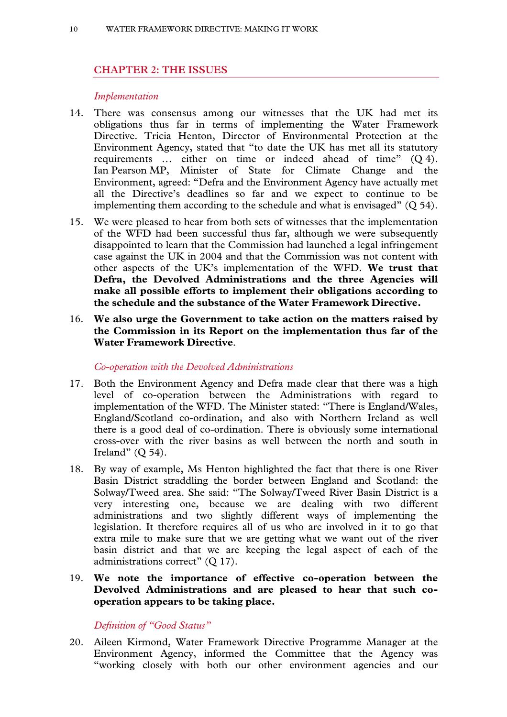#### **CHAPTER 2: THE ISSUES**

#### *Implementation*

- 14. There was consensus among our witnesses that the UK had met its obligations thus far in terms of implementing the Water Framework Directive. Tricia Henton, Director of Environmental Protection at the Environment Agency, stated that "to date the UK has met all its statutory requirements … either on time or indeed ahead of time" (Q 4). Ian Pearson MP, Minister of State for Climate Change and the Environment, agreed: "Defra and the Environment Agency have actually met all the Directive's deadlines so far and we expect to continue to be implementing them according to the schedule and what is envisaged"  $(Q 54)$ .
- 15. We were pleased to hear from both sets of witnesses that the implementation of the WFD had been successful thus far, although we were subsequently disappointed to learn that the Commission had launched a legal infringement case against the UK in 2004 and that the Commission was not content with other aspects of the UK's implementation of the WFD. **We trust that Defra, the Devolved Administrations and the three Agencies will make all possible efforts to implement their obligations according to the schedule and the substance of the Water Framework Directive.**
- 16. **We also urge the Government to take action on the matters raised by the Commission in its Report on the implementation thus far of the Water Framework Directive**.

#### *Co-operation with the Devolved Administrations*

- 17. Both the Environment Agency and Defra made clear that there was a high level of co-operation between the Administrations with regard to implementation of the WFD. The Minister stated: "There is England/Wales, England/Scotland co-ordination, and also with Northern Ireland as well there is a good deal of co-ordination. There is obviously some international cross-over with the river basins as well between the north and south in Ireland"  $(O 54)$ .
- 18. By way of example, Ms Henton highlighted the fact that there is one River Basin District straddling the border between England and Scotland: the Solway/Tweed area. She said: "The Solway/Tweed River Basin District is a very interesting one, because we are dealing with two different administrations and two slightly different ways of implementing the legislation. It therefore requires all of us who are involved in it to go that extra mile to make sure that we are getting what we want out of the river basin district and that we are keeping the legal aspect of each of the administrations correct" (Q 17).
- 19. **We note the importance of effective co-operation between the Devolved Administrations and are pleased to hear that such cooperation appears to be taking place.**

#### *Definition of "Good Status"*

20. Aileen Kirmond, Water Framework Directive Programme Manager at the Environment Agency, informed the Committee that the Agency was "working closely with both our other environment agencies and our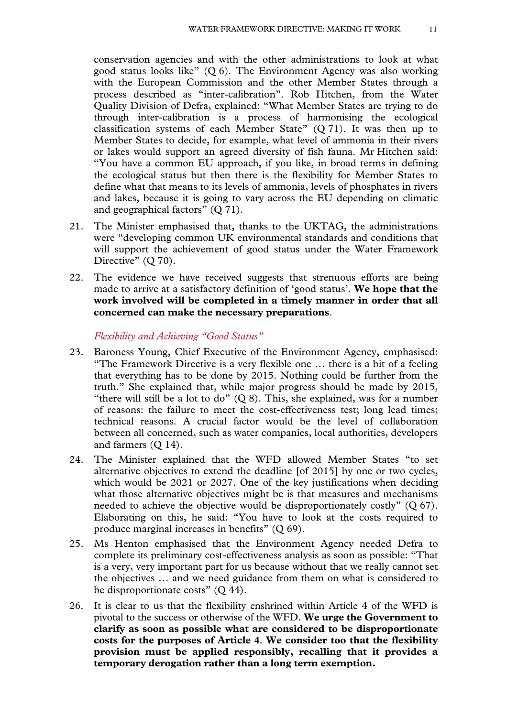conservation agencies and with the other administrations to look at what good status looks like"  $(Q 6)$ . The Environment Agency was also working with the European Commission and the other Member States through a process described as "inter-calibration". Rob Hitchen, from the Water Quality Division of Defra, explained: "What Member States are trying to do through inter-calibration is a process of harmonising the ecological classification systems of each Member State" (Q 71). It was then up to Member States to decide, for example, what level of ammonia in their rivers or lakes would support an agreed diversity of fish fauna. Mr Hitchen said: "You have a common EU approach, if you like, in broad terms in defining the ecological status but then there is the flexibility for Member States to define what that means to its levels of ammonia, levels of phosphates in rivers and lakes, because it is going to vary across the EU depending on climatic and geographical factors" (Q 71).

- 21. The Minister emphasised that, thanks to the UKTAG, the administrations were "developing common UK environmental standards and conditions that will support the achievement of good status under the Water Framework Directive" (Q 70).
- 22. The evidence we have received suggests that strenuous efforts are being made to arrive at a satisfactory definition of 'good status'. **We hope that the work involved will be completed in a timely manner in order that all concerned can make the necessary preparations**.

*Flexibility and Achieving "Good Status"* 

- 23. Baroness Young, Chief Executive of the Environment Agency, emphasised: "The Framework Directive is a very flexible one … there is a bit of a feeling that everything has to be done by 2015. Nothing could be further from the truth." She explained that, while major progress should be made by 2015, "there will still be a lot to do"  $(0, 8)$ . This, she explained, was for a number of reasons: the failure to meet the cost-effectiveness test; long lead times; technical reasons. A crucial factor would be the level of collaboration between all concerned, such as water companies, local authorities, developers and farmers (Q 14).
- 24. The Minister explained that the WFD allowed Member States "to set alternative objectives to extend the deadline [of 2015] by one or two cycles, which would be 2021 or 2027. One of the key justifications when deciding what those alternative objectives might be is that measures and mechanisms needed to achieve the objective would be disproportionately costly" (Q 67). Elaborating on this, he said: "You have to look at the costs required to produce marginal increases in benefits" (Q 69).
- 25. Ms Henton emphasised that the Environment Agency needed Defra to complete its preliminary cost-effectiveness analysis as soon as possible: "That is a very, very important part for us because without that we really cannot set the objectives … and we need guidance from them on what is considered to be disproportionate costs" (Q 44).
- 26. It is clear to us that the flexibility enshrined within Article 4 of the WFD is pivotal to the success or otherwise of the WFD. **We urge the Government to clarify as soon as possible what are considered to be disproportionate costs for the purposes of Article 4**. **We consider too that the flexibility provision must be applied responsibly, recalling that it provides a temporary derogation rather than a long term exemption.**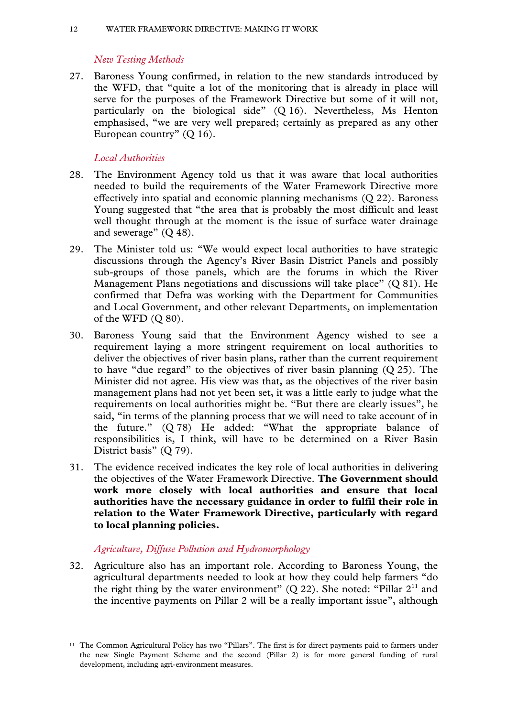#### *New Testing Methods*

27. Baroness Young confirmed, in relation to the new standards introduced by the WFD, that "quite a lot of the monitoring that is already in place will serve for the purposes of the Framework Directive but some of it will not, particularly on the biological side" (Q 16). Nevertheless, Ms Henton emphasised, "we are very well prepared; certainly as prepared as any other European country" (Q 16).

#### *Local Authorities*

- 28. The Environment Agency told us that it was aware that local authorities needed to build the requirements of the Water Framework Directive more effectively into spatial and economic planning mechanisms (Q 22). Baroness Young suggested that "the area that is probably the most difficult and least well thought through at the moment is the issue of surface water drainage and sewerage" (Q 48).
- 29. The Minister told us: "We would expect local authorities to have strategic discussions through the Agency's River Basin District Panels and possibly sub-groups of those panels, which are the forums in which the River Management Plans negotiations and discussions will take place" (Q 81). He confirmed that Defra was working with the Department for Communities and Local Government, and other relevant Departments, on implementation of the WFD  $(Q 80)$ .
- 30. Baroness Young said that the Environment Agency wished to see a requirement laying a more stringent requirement on local authorities to deliver the objectives of river basin plans, rather than the current requirement to have "due regard" to the objectives of river basin planning (Q 25). The Minister did not agree. His view was that, as the objectives of the river basin management plans had not yet been set, it was a little early to judge what the requirements on local authorities might be. "But there are clearly issues", he said, "in terms of the planning process that we will need to take account of in the future." (Q 78) He added: "What the appropriate balance of responsibilities is, I think, will have to be determined on a River Basin District basis" (Q 79).
- 31. The evidence received indicates the key role of local authorities in delivering the objectives of the Water Framework Directive. **The Government should work more closely with local authorities and ensure that local authorities have the necessary guidance in order to fulfil their role in relation to the Water Framework Directive, particularly with regard to local planning policies.**

#### *Agriculture, Diffuse Pollution and Hydromorphology*

32. Agriculture also has an important role. According to Baroness Young, the agricultural departments needed to look at how they could help farmers "do the right thing by the water environment"  $(Q 22)$ . She noted: "Pillar  $2<sup>11</sup>$  and the incentive payments on Pillar 2 will be a really important issue", although

 <sup>11</sup> The Common Agricultural Policy has two "Pillars". The first is for direct payments paid to farmers under the new Single Payment Scheme and the second (Pillar 2) is for more general funding of rural development, including agri-environment measures.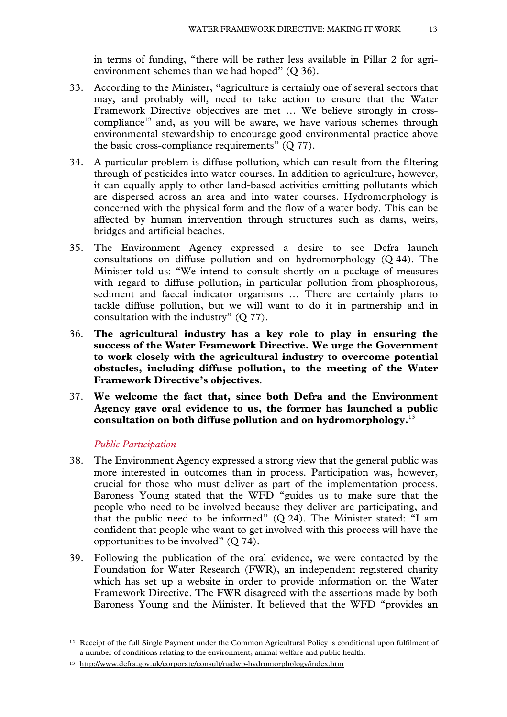in terms of funding, "there will be rather less available in Pillar 2 for agrienvironment schemes than we had hoped" (Q 36).

- 33. According to the Minister, "agriculture is certainly one of several sectors that may, and probably will, need to take action to ensure that the Water Framework Directive objectives are met … We believe strongly in crosscompliance<sup>12</sup> and, as you will be aware, we have various schemes through environmental stewardship to encourage good environmental practice above the basic cross-compliance requirements" (Q 77).
- 34. A particular problem is diffuse pollution, which can result from the filtering through of pesticides into water courses. In addition to agriculture, however, it can equally apply to other land-based activities emitting pollutants which are dispersed across an area and into water courses. Hydromorphology is concerned with the physical form and the flow of a water body. This can be affected by human intervention through structures such as dams, weirs, bridges and artificial beaches.
- 35. The Environment Agency expressed a desire to see Defra launch consultations on diffuse pollution and on hydromorphology (Q 44). The Minister told us: "We intend to consult shortly on a package of measures with regard to diffuse pollution, in particular pollution from phosphorous, sediment and faecal indicator organisms … There are certainly plans to tackle diffuse pollution, but we will want to do it in partnership and in consultation with the industry" (Q 77).
- 36. **The agricultural industry has a key role to play in ensuring the success of the Water Framework Directive. We urge the Government to work closely with the agricultural industry to overcome potential obstacles, including diffuse pollution, to the meeting of the Water Framework Directive's objectives**.
- 37. **We welcome the fact that, since both Defra and the Environment Agency gave oral evidence to us, the former has launched a public consultation on both diffuse pollution and on hydromorphology.**<sup>13</sup>

#### *Public Participation*

- 38. The Environment Agency expressed a strong view that the general public was more interested in outcomes than in process. Participation was, however, crucial for those who must deliver as part of the implementation process. Baroness Young stated that the WFD "guides us to make sure that the people who need to be involved because they deliver are participating, and that the public need to be informed" (Q 24). The Minister stated: "I am confident that people who want to get involved with this process will have the opportunities to be involved"  $(Q 74)$ .
- 39. Following the publication of the oral evidence, we were contacted by the Foundation for Water Research (FWR), an independent registered charity which has set up a website in order to provide information on the Water Framework Directive. The FWR disagreed with the assertions made by both Baroness Young and the Minister. It believed that the WFD "provides an

 <sup>12</sup> Receipt of the full Single Payment under the Common Agricultural Policy is conditional upon fulfilment of a number of conditions relating to the environment, animal welfare and public health.

<sup>13</sup> http://www.defra.gov.uk/corporate/consult/nadwp-hydromorphology/index.htm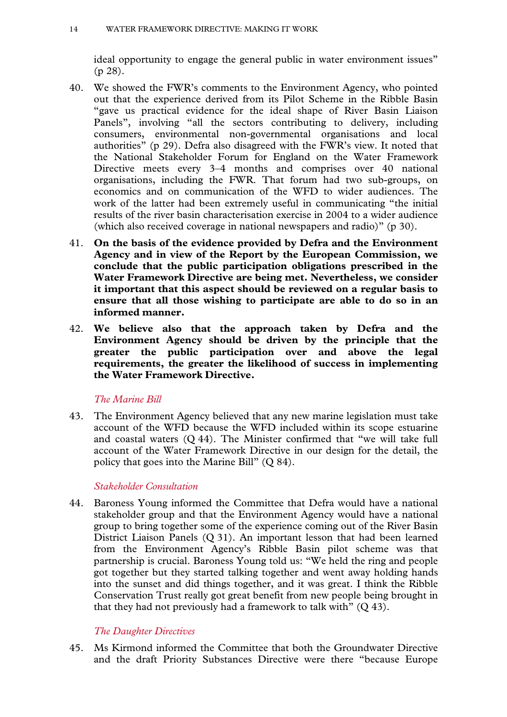ideal opportunity to engage the general public in water environment issues" (p 28).

- 40. We showed the FWR's comments to the Environment Agency, who pointed out that the experience derived from its Pilot Scheme in the Ribble Basin "gave us practical evidence for the ideal shape of River Basin Liaison Panels", involving "all the sectors contributing to delivery, including consumers, environmental non-governmental organisations and local authorities" (p 29). Defra also disagreed with the FWR's view. It noted that the National Stakeholder Forum for England on the Water Framework Directive meets every 3–4 months and comprises over 40 national organisations, including the FWR. That forum had two sub-groups, on economics and on communication of the WFD to wider audiences. The work of the latter had been extremely useful in communicating "the initial results of the river basin characterisation exercise in 2004 to a wider audience (which also received coverage in national newspapers and radio)" (p 30).
- 41. **On the basis of the evidence provided by Defra and the Environment Agency and in view of the Report by the European Commission, we conclude that the public participation obligations prescribed in the Water Framework Directive are being met. Nevertheless, we consider it important that this aspect should be reviewed on a regular basis to ensure that all those wishing to participate are able to do so in an informed manner.**
- 42. **We believe also that the approach taken by Defra and the Environment Agency should be driven by the principle that the greater the public participation over and above the legal requirements, the greater the likelihood of success in implementing the Water Framework Directive.**

#### *The Marine Bill*

43. The Environment Agency believed that any new marine legislation must take account of the WFD because the WFD included within its scope estuarine and coastal waters (Q 44). The Minister confirmed that "we will take full account of the Water Framework Directive in our design for the detail, the policy that goes into the Marine Bill" (Q 84).

#### *Stakeholder Consultation*

44. Baroness Young informed the Committee that Defra would have a national stakeholder group and that the Environment Agency would have a national group to bring together some of the experience coming out of the River Basin District Liaison Panels (Q 31). An important lesson that had been learned from the Environment Agency's Ribble Basin pilot scheme was that partnership is crucial. Baroness Young told us: "We held the ring and people got together but they started talking together and went away holding hands into the sunset and did things together, and it was great. I think the Ribble Conservation Trust really got great benefit from new people being brought in that they had not previously had a framework to talk with"  $(Q 43)$ .

#### *The Daughter Directives*

45. Ms Kirmond informed the Committee that both the Groundwater Directive and the draft Priority Substances Directive were there "because Europe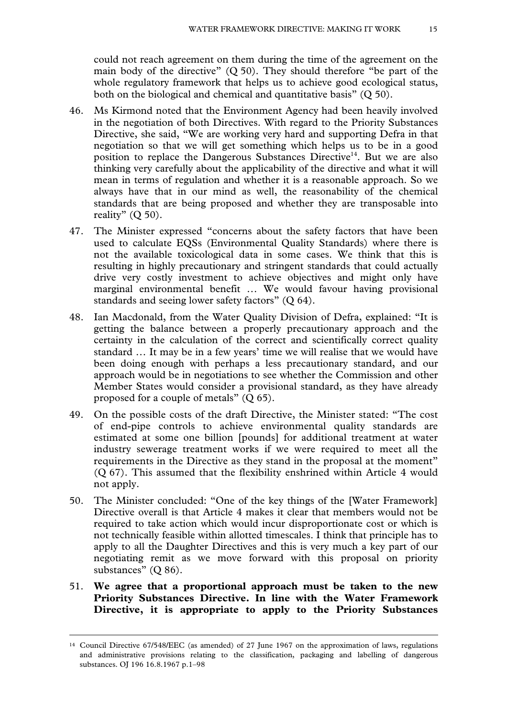could not reach agreement on them during the time of the agreement on the main body of the directive"  $(Q 50)$ . They should therefore "be part of the whole regulatory framework that helps us to achieve good ecological status, both on the biological and chemical and quantitative basis" (Q 50).

- 46. Ms Kirmond noted that the Environment Agency had been heavily involved in the negotiation of both Directives. With regard to the Priority Substances Directive, she said, "We are working very hard and supporting Defra in that negotiation so that we will get something which helps us to be in a good position to replace the Dangerous Substances Directive<sup>14</sup>. But we are also thinking very carefully about the applicability of the directive and what it will mean in terms of regulation and whether it is a reasonable approach. So we always have that in our mind as well, the reasonability of the chemical standards that are being proposed and whether they are transposable into reality"  $(Q 50)$ .
- 47. The Minister expressed "concerns about the safety factors that have been used to calculate EQSs (Environmental Quality Standards) where there is not the available toxicological data in some cases. We think that this is resulting in highly precautionary and stringent standards that could actually drive very costly investment to achieve objectives and might only have marginal environmental benefit … We would favour having provisional standards and seeing lower safety factors" (Q 64).
- 48. Ian Macdonald, from the Water Quality Division of Defra, explained: "It is getting the balance between a properly precautionary approach and the certainty in the calculation of the correct and scientifically correct quality standard … It may be in a few years' time we will realise that we would have been doing enough with perhaps a less precautionary standard, and our approach would be in negotiations to see whether the Commission and other Member States would consider a provisional standard, as they have already proposed for a couple of metals" (Q 65).
- 49. On the possible costs of the draft Directive, the Minister stated: "The cost of end-pipe controls to achieve environmental quality standards are estimated at some one billion [pounds] for additional treatment at water industry sewerage treatment works if we were required to meet all the requirements in the Directive as they stand in the proposal at the moment" (Q 67). This assumed that the flexibility enshrined within Article 4 would not apply.
- 50. The Minister concluded: "One of the key things of the [Water Framework] Directive overall is that Article 4 makes it clear that members would not be required to take action which would incur disproportionate cost or which is not technically feasible within allotted timescales. I think that principle has to apply to all the Daughter Directives and this is very much a key part of our negotiating remit as we move forward with this proposal on priority substances" (Q 86).
- 51. **We agree that a proportional approach must be taken to the new Priority Substances Directive. In line with the Water Framework Directive, it is appropriate to apply to the Priority Substances**

 <sup>14</sup> Council Directive 67/548/EEC (as amended) of 27 June 1967 on the approximation of laws, regulations and administrative provisions relating to the classification, packaging and labelling of dangerous substances. OJ 196 16.8.1967 p.1-98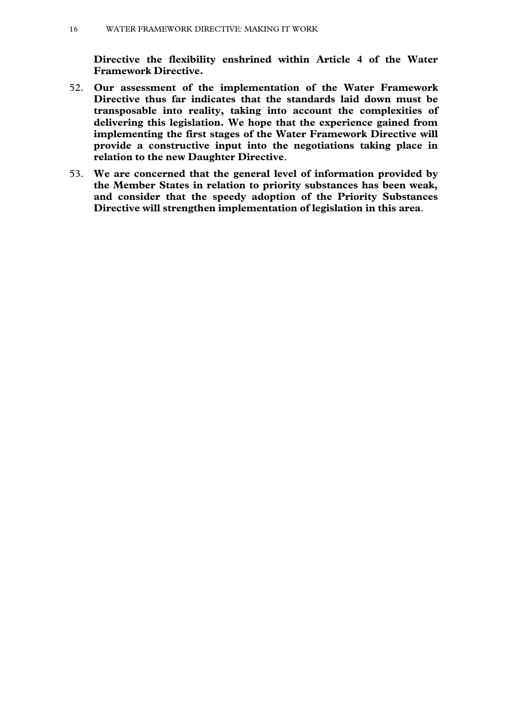**Directive the flexibility enshrined within Article 4 of the Water Framework Directive.** 

- 52. **Our assessment of the implementation of the Water Framework Directive thus far indicates that the standards laid down must be transposable into reality, taking into account the complexities of delivering this legislation. We hope that the experience gained from implementing the first stages of the Water Framework Directive will provide a constructive input into the negotiations taking place in relation to the new Daughter Directive**.
- 53. **We are concerned that the general level of information provided by the Member States in relation to priority substances has been weak, and consider that the speedy adoption of the Priority Substances Directive will strengthen implementation of legislation in this area**.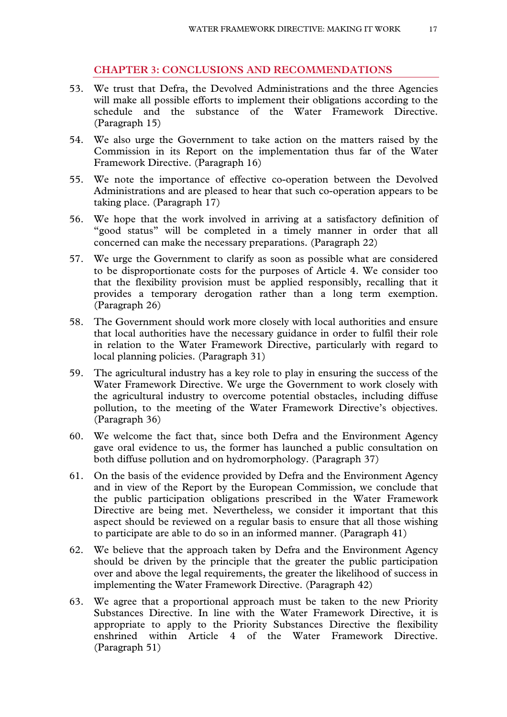#### **CHAPTER 3: CONCLUSIONS AND RECOMMENDATIONS**

- 53. We trust that Defra, the Devolved Administrations and the three Agencies will make all possible efforts to implement their obligations according to the schedule and the substance of the Water Framework Directive. (Paragraph 15)
- 54. We also urge the Government to take action on the matters raised by the Commission in its Report on the implementation thus far of the Water Framework Directive. (Paragraph 16)
- 55. We note the importance of effective co-operation between the Devolved Administrations and are pleased to hear that such co-operation appears to be taking place. (Paragraph 17)
- 56. We hope that the work involved in arriving at a satisfactory definition of "good status" will be completed in a timely manner in order that all concerned can make the necessary preparations. (Paragraph 22)
- 57. We urge the Government to clarify as soon as possible what are considered to be disproportionate costs for the purposes of Article 4. We consider too that the flexibility provision must be applied responsibly, recalling that it provides a temporary derogation rather than a long term exemption. (Paragraph 26)
- 58. The Government should work more closely with local authorities and ensure that local authorities have the necessary guidance in order to fulfil their role in relation to the Water Framework Directive, particularly with regard to local planning policies. (Paragraph 31)
- 59. The agricultural industry has a key role to play in ensuring the success of the Water Framework Directive. We urge the Government to work closely with the agricultural industry to overcome potential obstacles, including diffuse pollution, to the meeting of the Water Framework Directive's objectives. (Paragraph 36)
- 60. We welcome the fact that, since both Defra and the Environment Agency gave oral evidence to us, the former has launched a public consultation on both diffuse pollution and on hydromorphology. (Paragraph 37)
- 61. On the basis of the evidence provided by Defra and the Environment Agency and in view of the Report by the European Commission, we conclude that the public participation obligations prescribed in the Water Framework Directive are being met. Nevertheless, we consider it important that this aspect should be reviewed on a regular basis to ensure that all those wishing to participate are able to do so in an informed manner. (Paragraph 41)
- 62. We believe that the approach taken by Defra and the Environment Agency should be driven by the principle that the greater the public participation over and above the legal requirements, the greater the likelihood of success in implementing the Water Framework Directive. (Paragraph 42)
- 63. We agree that a proportional approach must be taken to the new Priority Substances Directive. In line with the Water Framework Directive, it is appropriate to apply to the Priority Substances Directive the flexibility enshrined within Article 4 of the Water Framework Directive. (Paragraph 51)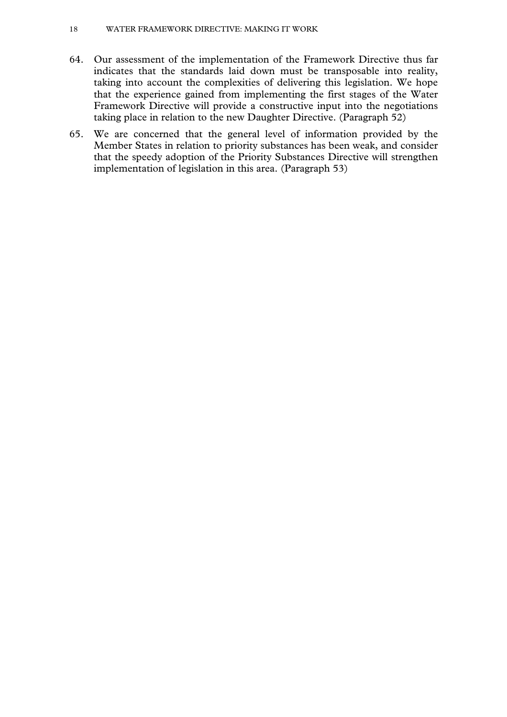#### 18 WATER FRAMEWORK DIRECTIVE: MAKING IT WORK

- 64. Our assessment of the implementation of the Framework Directive thus far indicates that the standards laid down must be transposable into reality, taking into account the complexities of delivering this legislation. We hope that the experience gained from implementing the first stages of the Water Framework Directive will provide a constructive input into the negotiations taking place in relation to the new Daughter Directive. (Paragraph 52)
- 65. We are concerned that the general level of information provided by the Member States in relation to priority substances has been weak, and consider that the speedy adoption of the Priority Substances Directive will strengthen implementation of legislation in this area. (Paragraph 53)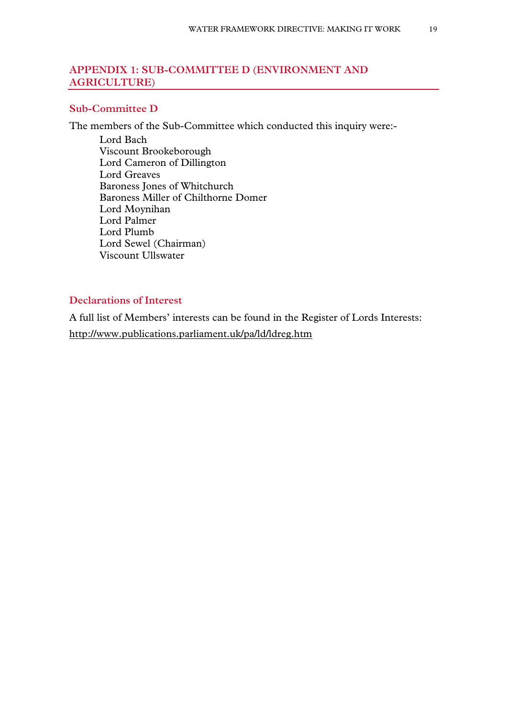#### **APPENDIX 1: SUB-COMMITTEE D (ENVIRONMENT AND AGRICULTURE)**

#### **Sub-Committee D**

The members of the Sub-Committee which conducted this inquiry were:-

Lord Bach Viscount Brookeborough Lord Cameron of Dillington Lord Greaves Baroness Jones of Whitchurch Baroness Miller of Chilthorne Domer Lord Moynihan Lord Palmer Lord Plumb Lord Sewel (Chairman) Viscount Ullswater

#### **Declarations of Interest**

A full list of Members' interests can be found in the Register of Lords Interests: http://www.publications.parliament.uk/pa/ld/ldreg.htm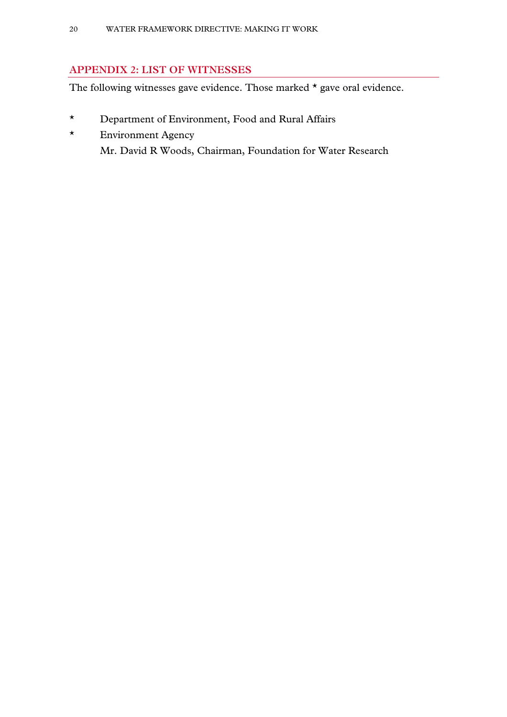#### **APPENDIX 2: LIST OF WITNESSES**

The following witnesses gave evidence. Those marked  $\star$  gave oral evidence.

- \* Department of Environment, Food and Rural Affairs
- \* Environment Agency Mr. David R Woods, Chairman, Foundation for Water Research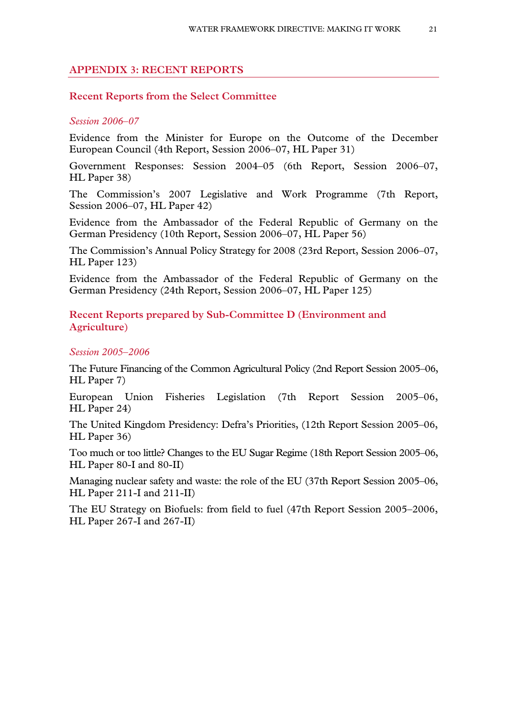#### **APPENDIX 3: RECENT REPORTS**

#### **Recent Reports from the Select Committee**

#### *Session 2006–07*

Evidence from the Minister for Europe on the Outcome of the December European Council (4th Report, Session 2006–07, HL Paper 31)

Government Responses: Session 2004–05 (6th Report, Session 2006–07, HL Paper 38)

The Commission's 2007 Legislative and Work Programme (7th Report, Session 2006–07, HL Paper 42)

Evidence from the Ambassador of the Federal Republic of Germany on the German Presidency (10th Report, Session 2006–07, HL Paper 56)

The Commission's Annual Policy Strategy for 2008 (23rd Report, Session 2006–07, HL Paper 123)

Evidence from the Ambassador of the Federal Republic of Germany on the German Presidency (24th Report, Session 2006–07, HL Paper 125)

**Recent Reports prepared by Sub-Committee D (Environment and Agriculture)** 

#### *Session 2005–2006*

The Future Financing of the Common Agricultural Policy (2nd Report Session 2005–06, HL Paper 7)

European Union Fisheries Legislation (7th Report Session 2005–06, HL Paper 24)

The United Kingdom Presidency: Defra's Priorities, (12th Report Session 2005–06, HL Paper 36)

Too much or too little? Changes to the EU Sugar Regime (18th Report Session 2005–06, HL Paper 80-I and 80-II)

Managing nuclear safety and waste: the role of the EU (37th Report Session 2005–06, HL Paper 211-I and 211-II)

The EU Strategy on Biofuels: from field to fuel (47th Report Session 2005–2006, HL Paper 267-I and 267-II)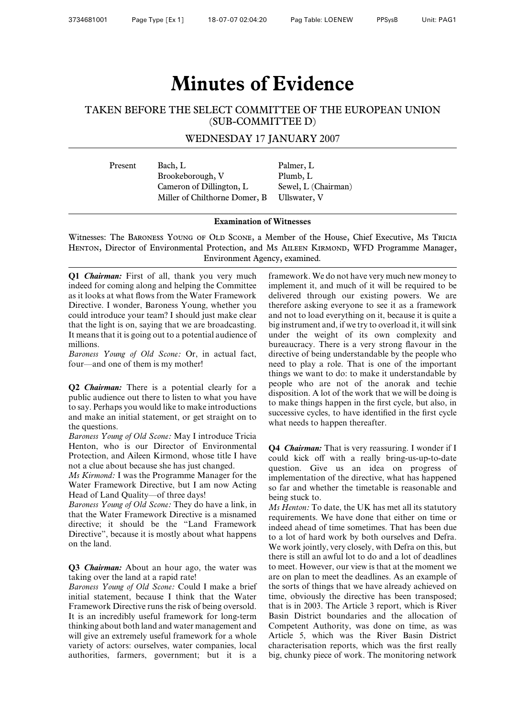### **Minutes of Evidence**

#### TAKEN BEFORE THE SELECT COMMITTEE OF THE EUROPEAN UNION (SUB-COMMITTEE D)

#### WEDNESDAY 17 JANUARY 2007

Present Bach, L Palmer, L Brookeborough, V Plumb, L Cameron of Dillington, L Sewel, L (Chairman) Miller of Chilthorne Domer, B Ullswater, V

#### **Examination of Witnesses**

Witnesses: The Baroness Young of Old Scone, a Member of the House, Chief Executive, Ms Tricia HENTON, Director of Environmental Protection, and Ms AILEEN KIRMOND, WFD Programme Manager, Environment Agency, examined.

**Q1** *Chairman:* First of all, thank you very much indeed for coming along and helping the Committee as it looks at what flows from the Water Framework Directive. I wonder, Baroness Young, whether you could introduce your team? I should just make clear that the light is on, saying that we are broadcasting. It means that it is going out to a potential audience of millions.

*Baroness Young of Old Scone:* Or, in actual fact, four—and one of them is my mother!

**Q2** *Chairman:* There is a potential clearly for a public audience out there to listen to what you have to say. Perhaps you would like to make introductions and make an initial statement, or get straight on to the questions.

*Baroness Young of Old Scone:* May I introduce Tricia Henton, who is our Director of Environmental Protection, and Aileen Kirmond, whose title I have not a clue about because she has just changed.

*Ms Kirmond:* I was the Programme Manager for the Water Framework Directive, but I am now Acting Head of Land Quality—of three days!

*Baroness Young of Old Scone:* They do have a link, in that the Water Framework Directive is a misnamed directive; it should be the "Land Framework Directive", because it is mostly about what happens on the land.

**Q3** *Chairman:* About an hour ago, the water was taking over the land at a rapid rate!

*Baroness Young of Old Scone:* Could I make a brief initial statement, because I think that the Water Framework Directive runs the risk of being oversold. It is an incredibly useful framework for long-term thinking about both land and water management and will give an extremely useful framework for a whole variety of actors: ourselves, water companies, local authorities, farmers, government; but it is a framework. We do not have very much new money to implement it, and much of it will be required to be delivered through our existing powers. We are therefore asking everyone to see it as a framework and not to load everything on it, because it is quite a big instrument and, if we try to overload it, it will sink under the weight of its own complexity and bureaucracy. There is a very strong flavour in the directive of being understandable by the people who need to play a role. That is one of the important things we want to do: to make it understandable by people who are not of the anorak and techie disposition. A lot of the work that we will be doing is to make things happen in the first cycle, but also, in successive cycles, to have identified in the first cycle what needs to happen thereafter.

**Q4** *Chairman:* That is very reassuring. I wonder if I could kick off with a really bring-us-up-to-date question. Give us an idea on progress of implementation of the directive, what has happened so far and whether the timetable is reasonable and being stuck to.

*Ms Henton:* To date, the UK has met all its statutory requirements. We have done that either on time or indeed ahead of time sometimes. That has been due to a lot of hard work by both ourselves and Defra. We work jointly, very closely, with Defra on this, but there is still an awful lot to do and a lot of deadlines to meet. However, our view is that at the moment we are on plan to meet the deadlines. As an example of the sorts of things that we have already achieved on time, obviously the directive has been transposed; that is in 2003. The Article 3 report, which is River Basin District boundaries and the allocation of Competent Authority, was done on time, as was Article 5, which was the River Basin District characterisation reports, which was the first really big, chunky piece of work. The monitoring network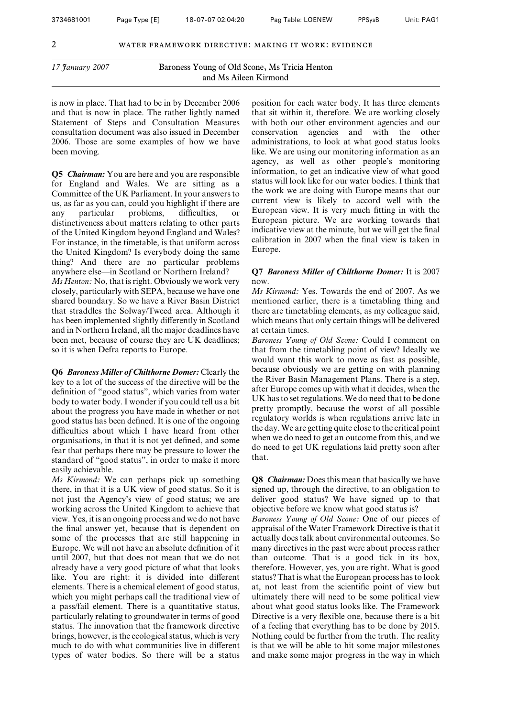is now in place. That had to be in by December 2006 and that is now in place. The rather lightly named Statement of Steps and Consultation Measures consultation document was also issued in December 2006. Those are some examples of how we have been moving.

**Q5** *Chairman:* You are here and you are responsible for England and Wales. We are sitting as a Committee of the UK Parliament. In your answers to us, as far as you can, could you highlight if there are any particular problems, difficulties, or distinctiveness about matters relating to other parts of the United Kingdom beyond England and Wales? For instance, in the timetable, is that uniform across the United Kingdom? Is everybody doing the same thing? And there are no particular problems anywhere else—in Scotland or Northern Ireland? *Ms Henton:* No, that is right. Obviously we work very closely, particularly with SEPA, because we have one shared boundary. So we have a River Basin District that straddles the Solway/Tweed area. Although it has been implemented slightly differently in Scotland and in Northern Ireland, all the major deadlines have been met, because of course they are UK deadlines; so it is when Defra reports to Europe.

**Q6** *Baroness Miller of Chilthorne Domer:* Clearly the key to a lot of the success of the directive will be the definition of "good status", which varies from water body to water body. I wonder if you could tell us a bit about the progress you have made in whether or not good status has been defined. It is one of the ongoing difficulties about which I have heard from other organisations, in that it is not yet defined, and some fear that perhaps there may be pressure to lower the standard of "good status", in order to make it more easily achievable.

*Ms Kirmond:* We can perhaps pick up something there, in that it is a UK view of good status. So it is not just the Agency's view of good status; we are working across the United Kingdom to achieve that view. Yes, it is an ongoing process and we do not have the final answer yet, because that is dependent on some of the processes that are still happening in Europe. We will not have an absolute definition of it until 2007, but that does not mean that we do not already have a very good picture of what that looks like. You are right: it is divided into different elements. There is a chemical element of good status, which you might perhaps call the traditional view of a pass/fail element. There is a quantitative status, particularly relating to groundwater in terms of good status. The innovation that the framework directive brings, however, is the ecological status, which is very much to do with what communities live in different types of water bodies. So there will be a status

position for each water body. It has three elements that sit within it, therefore. We are working closely with both our other environment agencies and our conservation agencies and with the other administrations, to look at what good status looks like. We are using our monitoring information as an agency, as well as other people's monitoring information, to get an indicative view of what good status will look like for our water bodies. I think that the work we are doing with Europe means that our current view is likely to accord well with the European view. It is very much fitting in with the European picture. We are working towards that indicative view at the minute, but we will get the final calibration in 2007 when the final view is taken in Europe.

#### **Q7** *Baroness Miller of Chilthorne Domer:* It is 2007 now.

*Ms Kirmond:* Yes. Towards the end of 2007. As we mentioned earlier, there is a timetabling thing and there are timetabling elements, as my colleague said, which means that only certain things will be delivered at certain times.

*Baroness Young of Old Scone:* Could I comment on that from the timetabling point of view? Ideally we would want this work to move as fast as possible, because obviously we are getting on with planning the River Basin Management Plans. There is a step, after Europe comes up with what it decides, when the UK has to set regulations.We do need that to be done pretty promptly, because the worst of all possible regulatory worlds is when regulations arrive late in the day. We are getting quite close to the critical point when we do need to get an outcome from this, and we do need to get UK regulations laid pretty soon after that.

**Q8** *Chairman:* Does this mean that basically we have signed up, through the directive, to an obligation to deliver good status? We have signed up to that objective before we know what good status is?

*Baroness Young of Old Scone:* One of our pieces of appraisal of the Water Framework Directive is that it actually does talk about environmental outcomes. So many directives in the past were about process rather than outcome. That is a good tick in its box, therefore. However, yes, you are right. What is good status? That is what the European process has to look at, not least from the scientific point of view but ultimately there will need to be some political view about what good status looks like. The Framework Directive is a very flexible one, because there is a bit of a feeling that everything has to be done by 2015. Nothing could be further from the truth. The reality is that we will be able to hit some major milestones and make some major progress in the way in which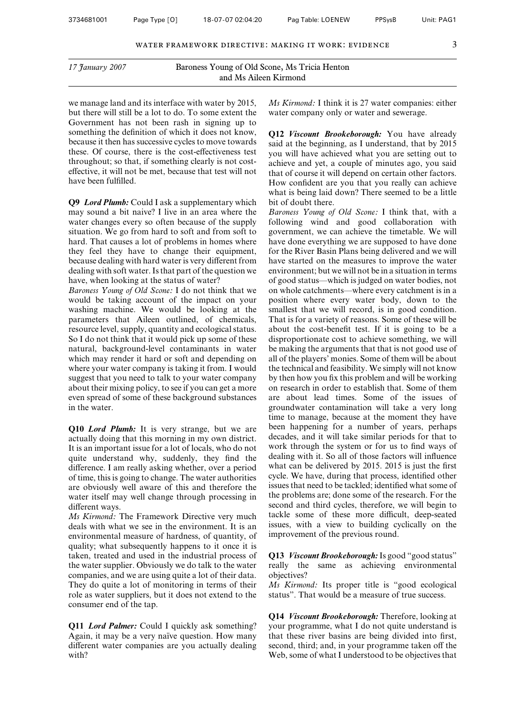we manage land and its interface with water by 2015, but there will still be a lot to do. To some extent the Government has not been rash in signing up to something the definition of which it does not know, because it then has successive cycles to move towards these. Of course, there is the cost-effectiveness test throughout; so that, if something clearly is not costeffective, it will not be met, because that test will not have been fulfilled.

**Q9** *Lord Plumb:* Could I ask a supplementary which may sound a bit naive? I live in an area where the water changes every so often because of the supply situation. We go from hard to soft and from soft to hard. That causes a lot of problems in homes where they feel they have to change their equipment, because dealing with hard water is very different from dealing with soft water. Is that part of the question we have, when looking at the status of water?

*Baroness Young of Old Scone:* I do not think that we would be taking account of the impact on your washing machine. We would be looking at the parameters that Aileen outlined, of chemicals, resource level, supply, quantity and ecological status. So I do not think that it would pick up some of these natural, background-level contaminants in water which may render it hard or soft and depending on where your water company is taking it from. I would suggest that you need to talk to your water company about their mixing policy, to see if you can get a more even spread of some of these background substances in the water.

**Q10** *Lord Plumb:* It is very strange, but we are actually doing that this morning in my own district. It is an important issue for a lot of locals, who do not quite understand why, suddenly, they find the difference. I am really asking whether, over a period of time, this is going to change. The water authorities are obviously well aware of this and therefore the water itself may well change through processing in different ways.

*Ms Kirmond:* The Framework Directive very much deals with what we see in the environment. It is an environmental measure of hardness, of quantity, of quality; what subsequently happens to it once it is taken, treated and used in the industrial process of the water supplier. Obviously we do talk to the water companies, and we are using quite a lot of their data. They do quite a lot of monitoring in terms of their role as water suppliers, but it does not extend to the consumer end of the tap.

**Q11** *Lord Palmer:* Could I quickly ask something? Again, it may be a very naïve question. How many different water companies are you actually dealing with?

*Ms Kirmond:* I think it is 27 water companies: either water company only or water and sewerage.

**Q12** *Viscount Brookeborough:* You have already said at the beginning, as I understand, that by 2015 you will have achieved what you are setting out to achieve and yet, a couple of minutes ago, you said that of course it will depend on certain other factors. How confident are you that you really can achieve what is being laid down? There seemed to be a little bit of doubt there.

*Baroness Young of Old Scone:* I think that, with a following wind and good collaboration with government, we can achieve the timetable. We will have done everything we are supposed to have done for the River Basin Plans being delivered and we will have started on the measures to improve the water environment; but we will not be in a situation in terms of good status—which is judged on water bodies, not on whole catchments—where every catchment is in a position where every water body, down to the smallest that we will record, is in good condition. That is for a variety of reasons. Some of these will be about the cost-benefit test. If it is going to be a disproportionate cost to achieve something, we will be making the arguments that that is not good use of all of the players' monies. Some of them will be about the technical and feasibility. We simply will not know by then how you fix this problem and will be working on research in order to establish that. Some of them are about lead times. Some of the issues of groundwater contamination will take a very long time to manage, because at the moment they have been happening for a number of years, perhaps decades, and it will take similar periods for that to work through the system or for us to find ways of dealing with it. So all of those factors will influence what can be delivered by 2015. 2015 is just the first cycle. We have, during that process, identified other issues that need to be tackled; identified what some of the problems are; done some of the research. For the second and third cycles, therefore, we will begin to tackle some of these more difficult, deep-seated issues, with a view to building cyclically on the improvement of the previous round.

**Q13** *Viscount Brookeborough:*Is good "good status" really the same as achieving environmental objectives?

*Ms Kirmond:* Its proper title is "good ecological status". That would be a measure of true success.

**Q14** *Viscount Brookeborough:* Therefore, looking at your programme, what I do not quite understand is that these river basins are being divided into first, second, third; and, in your programme taken off the Web, some of what I understood to be objectives that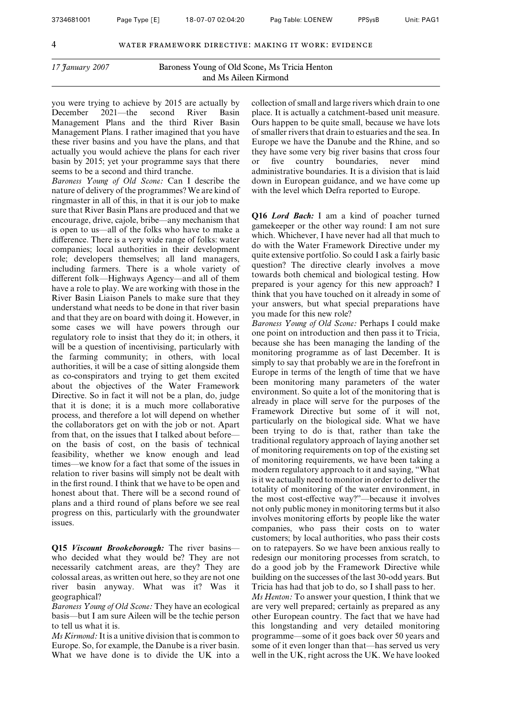you were trying to achieve by 2015 are actually by December 2021—the second River Basin Management Plans and the third River Basin Management Plans. I rather imagined that you have these river basins and you have the plans, and that actually you would achieve the plans for each river basin by 2015; yet your programme says that there seems to be a second and third tranche.

*Baroness Young of Old Scone:* Can I describe the nature of delivery of the programmes? We are kind of ringmaster in all of this, in that it is our job to make sure that River Basin Plans are produced and that we encourage, drive, cajole, bribe—any mechanism that is open to us—all of the folks who have to make a difference. There is a very wide range of folks: water companies; local authorities in their development role; developers themselves; all land managers, including farmers. There is a whole variety of different folk—Highways Agency—and all of them have a role to play. We are working with those in the River Basin Liaison Panels to make sure that they understand what needs to be done in that river basin and that they are on board with doing it. However, in some cases we will have powers through our regulatory role to insist that they do it; in others, it will be a question of incentivising, particularly with the farming community; in others, with local authorities, it will be a case of sitting alongside them as co-conspirators and trying to get them excited about the objectives of the Water Framework Directive. So in fact it will not be a plan, do, judge that it is done; it is a much more collaborative process, and therefore a lot will depend on whether the collaborators get on with the job or not. Apart from that, on the issues that I talked about before on the basis of cost, on the basis of technical feasibility, whether we know enough and lead times—we know for a fact that some of the issues in relation to river basins will simply not be dealt with in the first round. I think that we have to be open and honest about that. There will be a second round of plans and a third round of plans before we see real progress on this, particularly with the groundwater issues.

**Q15** *Viscount Brookeborough:* The river basins who decided what they would be? They are not necessarily catchment areas, are they? They are colossal areas, as written out here, so they are not one river basin anyway. What was it? Was it geographical?

*Baroness Young of Old Scone:* They have an ecological basis—but I am sure Aileen will be the techie person to tell us what it is.

*Ms Kirmond:*It is a unitive division that is common to Europe. So, for example, the Danube is a river basin. What we have done is to divide the UK into a collection of small and large rivers which drain to one place. It is actually a catchment-based unit measure. Ours happen to be quite small, because we have lots of smaller rivers that drain to estuaries and the sea. In Europe we have the Danube and the Rhine, and so they have some very big river basins that cross four or five country boundaries, never mind administrative boundaries. It is a division that is laid down in European guidance, and we have come up with the level which Defra reported to Europe.

**Q16** *Lord Bach:* I am a kind of poacher turned gamekeeper or the other way round: I am not sure which. Whichever, I have never had all that much to do with the Water Framework Directive under my quite extensive portfolio. So could I ask a fairly basic question? The directive clearly involves a move towards both chemical and biological testing. How prepared is your agency for this new approach? I think that you have touched on it already in some of your answers, but what special preparations have you made for this new role?

*Baroness Young of Old Scone:* Perhaps I could make one point on introduction and then pass it to Tricia, because she has been managing the landing of the monitoring programme as of last December. It is simply to say that probably we are in the forefront in Europe in terms of the length of time that we have been monitoring many parameters of the water environment. So quite a lot of the monitoring that is already in place will serve for the purposes of the Framework Directive but some of it will not, particularly on the biological side. What we have been trying to do is that, rather than take the traditional regulatory approach of laying another set of monitoring requirements on top of the existing set of monitoring requirements, we have been taking a modern regulatory approach to it and saying, "What is it we actually need to monitor in order to deliver the totality of monitoring of the water environment, in the most cost-effective way?"—because it involves not only public money in monitoring terms but it also involves monitoring efforts by people like the water companies, who pass their costs on to water customers; by local authorities, who pass their costs on to ratepayers. So we have been anxious really to redesign our monitoring processes from scratch, to do a good job by the Framework Directive while building on the successes of the last 30-odd years. But Tricia has had that job to do, so I shall pass to her.

*Ms Henton:* To answer your question, I think that we are very well prepared; certainly as prepared as any other European country. The fact that we have had this longstanding and very detailed monitoring programme—some of it goes back over 50 years and some of it even longer than that—has served us very well in the UK, right across the UK. We have looked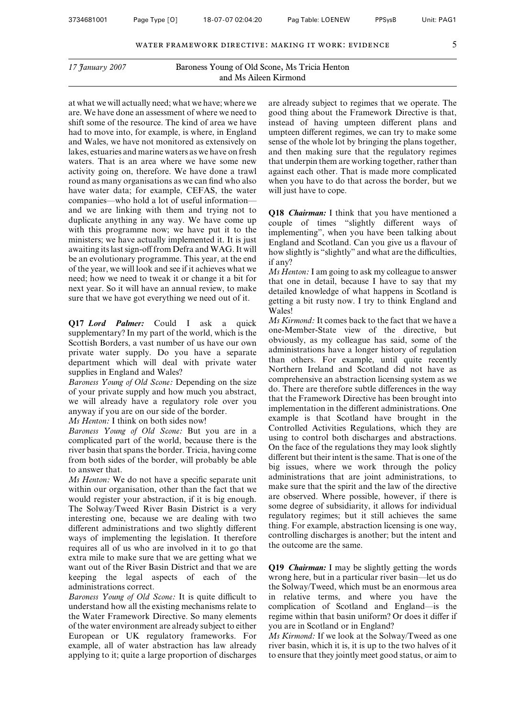at what we will actually need; what we have; where we are. We have done an assessment of where we need to shift some of the resource. The kind of area we have had to move into, for example, is where, in England and Wales, we have not monitored as extensively on lakes, estuaries and marine waters as we have on fresh waters. That is an area where we have some new activity going on, therefore. We have done a trawl round as many organisations as we can find who also have water data; for example, CEFAS, the water companies—who hold a lot of useful information and we are linking with them and trying not to duplicate anything in any way. We have come up with this programme now; we have put it to the ministers; we have actually implemented it. It is just awaiting its last sign-off from Defra and WAG. It will be an evolutionary programme. This year, at the end of the year, we will look and see if it achieves what we need; how we need to tweak it or change it a bit for next year. So it will have an annual review, to make sure that we have got everything we need out of it.

**Q17** *Lord Palmer:* Could I ask a quick supplementary? In my part of the world, which is the Scottish Borders, a vast number of us have our own private water supply. Do you have a separate department which will deal with private water supplies in England and Wales?

*Baroness Young of Old Scone:* Depending on the size of your private supply and how much you abstract, we will already have a regulatory role over you anyway if you are on our side of the border.

*Ms Henton:* I think on both sides now!

*Baroness Young of Old Scone:* But you are in a complicated part of the world, because there is the river basin that spans the border. Tricia, having come from both sides of the border, will probably be able to answer that.

*Ms Henton:* We do not have a specific separate unit within our organisation, other than the fact that we would register your abstraction, if it is big enough. The Solway/Tweed River Basin District is a very interesting one, because we are dealing with two different administrations and two slightly different ways of implementing the legislation. It therefore requires all of us who are involved in it to go that extra mile to make sure that we are getting what we want out of the River Basin District and that we are keeping the legal aspects of each of the administrations correct.

*Baroness Young of Old Scone:* It is quite difficult to understand how all the existing mechanisms relate to the Water Framework Directive. So many elements of the water environment are already subject to either European or UK regulatory frameworks. For example, all of water abstraction has law already applying to it; quite a large proportion of discharges

are already subject to regimes that we operate. The good thing about the Framework Directive is that, instead of having umpteen different plans and umpteen different regimes, we can try to make some sense of the whole lot by bringing the plans together, and then making sure that the regulatory regimes that underpin them are working together, rather than against each other. That is made more complicated when you have to do that across the border, but we will just have to cope.

**Q18** *Chairman:* I think that you have mentioned a couple of times "slightly different ways of implementing", when you have been talking about England and Scotland. Can you give us a flavour of how slightly is "slightly" and what are the difficulties, if any?

*Ms Henton:* I am going to ask my colleague to answer that one in detail, because I have to say that my detailed knowledge of what happens in Scotland is getting a bit rusty now. I try to think England and Wales!

*Ms Kirmond:* It comes back to the fact that we have a one-Member-State view of the directive, but obviously, as my colleague has said, some of the administrations have a longer history of regulation than others. For example, until quite recently Northern Ireland and Scotland did not have as comprehensive an abstraction licensing system as we do. There are therefore subtle differences in the way that the Framework Directive has been brought into implementation in the different administrations. One example is that Scotland have brought in the Controlled Activities Regulations, which they are using to control both discharges and abstractions. On the face of the regulations they may look slightly different but their intent is the same. That is one of the big issues, where we work through the policy administrations that are joint administrations, to make sure that the spirit and the law of the directive are observed. Where possible, however, if there is some degree of subsidiarity, it allows for individual regulatory regimes; but it still achieves the same thing. For example, abstraction licensing is one way, controlling discharges is another; but the intent and the outcome are the same.

**Q19** *Chairman:* I may be slightly getting the words wrong here, but in a particular river basin—let us do the Solway/Tweed, which must be an enormous area in relative terms, and where you have the complication of Scotland and England—is the regime within that basin uniform? Or does it differ if you are in Scotland or in England?

*Ms Kirmond:* If we look at the Solway/Tweed as one river basin, which it is, it is up to the two halves of it to ensure that they jointly meet good status, or aim to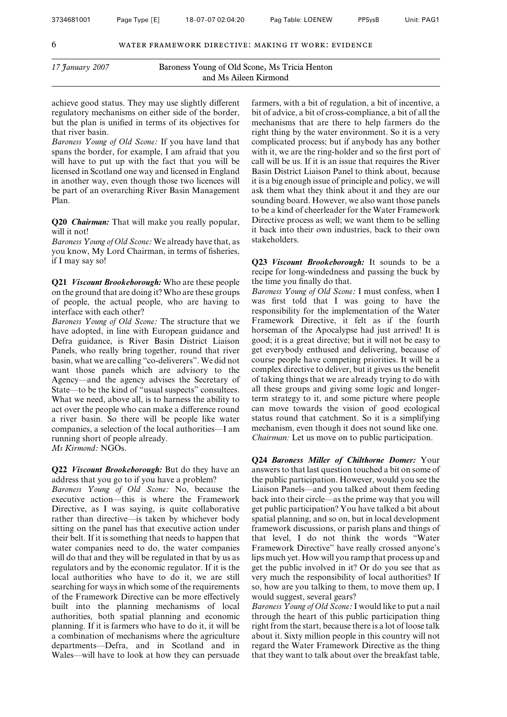achieve good status. They may use slightly different regulatory mechanisms on either side of the border, but the plan is unified in terms of its objectives for that river basin.

*Baroness Young of Old Scone:* If you have land that spans the border, for example, I am afraid that you will have to put up with the fact that you will be licensed in Scotland one way and licensed in England in another way, even though those two licences will be part of an overarching River Basin Management Plan.

**Q20** *Chairman:* That will make you really popular, will it not!

*Baroness Young of Old Scone:* We already have that, as you know, My Lord Chairman, in terms of fisheries, if I may say so!

**Q21** *Viscount Brookeborough:* Who are these people on the ground that are doing it? Who are these groups of people, the actual people, who are having to interface with each other?

*Baroness Young of Old Scone:* The structure that we have adopted, in line with European guidance and Defra guidance, is River Basin District Liaison Panels, who really bring together, round that river basin, what we are calling "co-deliverers". We did not want those panels which are advisory to the Agency—and the agency advises the Secretary of State—to be the kind of "usual suspects" consultees. What we need, above all, is to harness the ability to act over the people who can make a difference round a river basin. So there will be people like water companies, a selection of the local authorities—I am running short of people already.

*Ms Kirmond:* NGOs.

**Q22** *Viscount Brookeborough:* But do they have an address that you go to if you have a problem?

*Baroness Young of Old Scone:* No, because the executive action—this is where the Framework Directive, as I was saying, is quite collaborative rather than directive—is taken by whichever body sitting on the panel has that executive action under their belt. If it is something that needs to happen that water companies need to do, the water companies will do that and they will be regulated in that by us as regulators and by the economic regulator. If it is the local authorities who have to do it, we are still searching for ways in which some of the requirements of the Framework Directive can be more effectively built into the planning mechanisms of local authorities, both spatial planning and economic planning. If it is farmers who have to do it, it will be a combination of mechanisms where the agriculture departments—Defra, and in Scotland and in Wales—will have to look at how they can persuade

farmers, with a bit of regulation, a bit of incentive, a bit of advice, a bit of cross-compliance, a bit of all the mechanisms that are there to help farmers do the right thing by the water environment. So it is a very complicated process; but if anybody has any bother with it, we are the ring-holder and so the first port of call will be us. If it is an issue that requires the River Basin District Liaison Panel to think about, because it is a big enough issue of principle and policy, we will ask them what they think about it and they are our sounding board. However, we also want those panels to be a kind of cheerleader for the Water Framework Directive process as well; we want them to be selling it back into their own industries, back to their own stakeholders.

**Q23** *Viscount Brookeborough:* It sounds to be a recipe for long-windedness and passing the buck by the time you finally do that.

*Baroness Young of Old Scone:* I must confess, when I was first told that I was going to have the responsibility for the implementation of the Water Framework Directive, it felt as if the fourth horseman of the Apocalypse had just arrived! It is good; it is a great directive; but it will not be easy to get everybody enthused and delivering, because of course people have competing priorities. It will be a complex directive to deliver, but it gives us the benefit of taking things that we are already trying to do with all these groups and giving some logic and longerterm strategy to it, and some picture where people can move towards the vision of good ecological status round that catchment. So it is a simplifying mechanism, even though it does not sound like one. *Chairman:* Let us move on to public participation.

**Q24** *Baroness Miller of Chilthorne Domer:* Your answers to that last question touched a bit on some of the public participation. However, would you see the Liaison Panels—and you talked about them feeding back into their circle—as the prime way that you will get public participation? You have talked a bit about spatial planning, and so on, but in local development framework discussions, or parish plans and things of that level, I do not think the words "Water Framework Directive" have really crossed anyone's lips much yet. How will you ramp that process up and get the public involved in it? Or do you see that as very much the responsibility of local authorities? If so, how are you talking to them, to move them up, I would suggest, several gears?

*Baroness Young of Old Scone:*I would like to put a nail through the heart of this public participation thing right from the start, because there is a lot of loose talk about it. Sixty million people in this country will not regard the Water Framework Directive as the thing that they want to talk about over the breakfast table,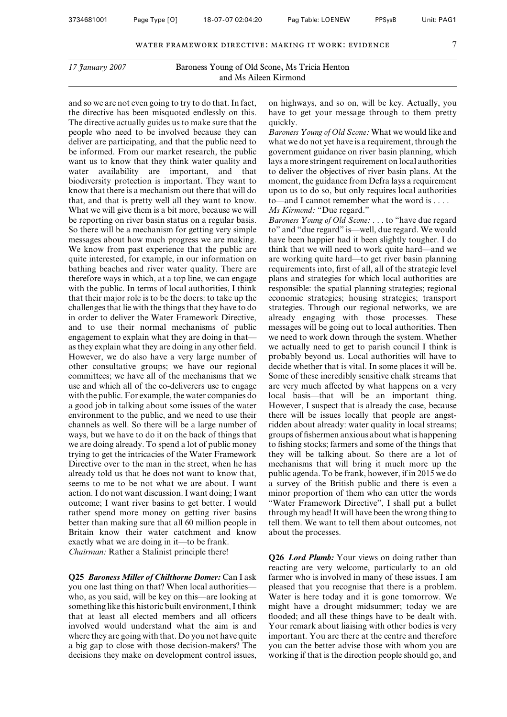and so we are not even going to try to do that. In fact, the directive has been misquoted endlessly on this. The directive actually guides us to make sure that the people who need to be involved because they can deliver are participating, and that the public need to be informed. From our market research, the public want us to know that they think water quality and water availability are important, and that biodiversity protection is important. They want to know that there is a mechanism out there that will do that, and that is pretty well all they want to know. What we will give them is a bit more, because we will be reporting on river basin status on a regular basis. So there will be a mechanism for getting very simple messages about how much progress we are making. We know from past experience that the public are quite interested, for example, in our information on bathing beaches and river water quality. There are therefore ways in which, at a top line, we can engage with the public. In terms of local authorities, I think that their major role is to be the doers: to take up the challenges that lie with the things that they have to do in order to deliver the Water Framework Directive, and to use their normal mechanisms of public engagement to explain what they are doing in that as they explain what they are doing in any other field. However, we do also have a very large number of other consultative groups; we have our regional committees; we have all of the mechanisms that we use and which all of the co-deliverers use to engage with the public. For example, the water companies do a good job in talking about some issues of the water environment to the public, and we need to use their channels as well. So there will be a large number of ways, but we have to do it on the back of things that we are doing already. To spend a lot of public money trying to get the intricacies of the Water Framework Directive over to the man in the street, when he has already told us that he does not want to know that, seems to me to be not what we are about. I want action. I do not want discussion. I want doing; I want outcome; I want river basins to get better. I would rather spend more money on getting river basins better than making sure that all 60 million people in Britain know their water catchment and know exactly what we are doing in it—to be frank. *Chairman:* Rather a Stalinist principle there!

**Q25** *Baroness Miller of Chilthorne Domer:* Can I ask you one last thing on that? When local authorities who, as you said, will be key on this—are looking at something like this historic built environment, I think that at least all elected members and all officers involved would understand what the aim is and where they are going with that. Do you not have quite a big gap to close with those decision-makers? The decisions they make on development control issues,

on highways, and so on, will be key. Actually, you have to get your message through to them pretty quickly.

*Baroness Young of Old Scone:* What we would like and what we do not yet have is a requirement, through the government guidance on river basin planning, which lays a more stringent requirement on local authorities to deliver the objectives of river basin plans. At the moment, the guidance from Defra lays a requirement upon us to do so, but only requires local authorities to—and I cannot remember what the word is . . . .

#### *Ms Kirmond:* "Due regard."

*Baroness Young of Old Scone:* . . . to "have due regard to" and "due regard" is—well, due regard. We would have been happier had it been slightly tougher. I do think that we will need to work quite hard—and we are working quite hard—to get river basin planning requirements into, first of all, all of the strategic level plans and strategies for which local authorities are responsible: the spatial planning strategies; regional economic strategies; housing strategies; transport strategies. Through our regional networks, we are already engaging with those processes. These messages will be going out to local authorities. Then we need to work down through the system. Whether we actually need to get to parish council I think is probably beyond us. Local authorities will have to decide whether that is vital. In some places it will be. Some of these incredibly sensitive chalk streams that are very much affected by what happens on a very local basis—that will be an important thing. However, I suspect that is already the case, because there will be issues locally that people are angstridden about already: water quality in local streams; groups of fishermen anxious about what is happening to fishing stocks; farmers and some of the things that they will be talking about. So there are a lot of mechanisms that will bring it much more up the public agenda. To be frank, however, if in 2015 we do a survey of the British public and there is even a minor proportion of them who can utter the words "Water Framework Directive", I shall put a bullet through my head! It will have been the wrong thing to tell them. We want to tell them about outcomes, not about the processes.

**Q26** *Lord Plumb:* Your views on doing rather than reacting are very welcome, particularly to an old farmer who is involved in many of these issues. I am pleased that you recognise that there is a problem. Water is here today and it is gone tomorrow. We might have a drought midsummer; today we are flooded; and all these things have to be dealt with. Your remark about liaising with other bodies is very important. You are there at the centre and therefore you can the better advise those with whom you are working if that is the direction people should go, and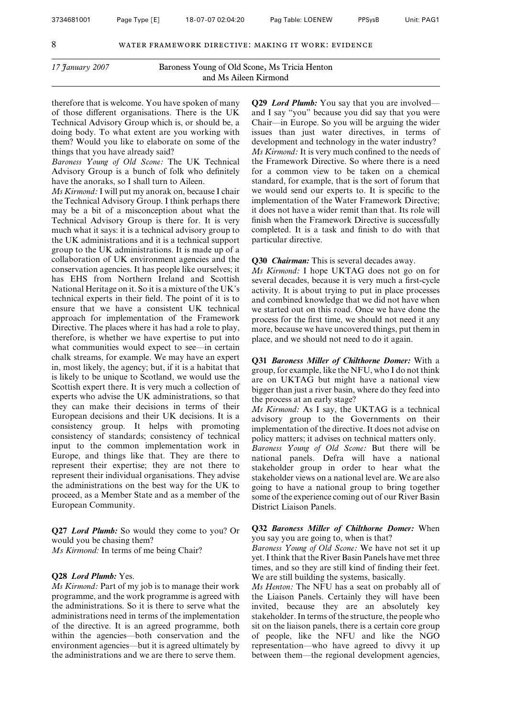therefore that is welcome. You have spoken of many of those different organisations. There is the UK Technical Advisory Group which is, or should be, a doing body. To what extent are you working with them? Would you like to elaborate on some of the things that you have already said?

*Baroness Young of Old Scone:* The UK Technical Advisory Group is a bunch of folk who definitely have the anoraks, so I shall turn to Aileen.

*Ms Kirmond:* I will put my anorak on, because I chair the Technical Advisory Group. I think perhaps there may be a bit of a misconception about what the Technical Advisory Group is there for. It is very much what it says: it is a technical advisory group to the UK administrations and it is a technical support group to the UK administrations. It is made up of a collaboration of UK environment agencies and the conservation agencies. It has people like ourselves; it has EHS from Northern Ireland and Scottish National Heritage on it. So it is a mixture of the UK's technical experts in their field. The point of it is to ensure that we have a consistent UK technical approach for implementation of the Framework Directive. The places where it has had a role to play, therefore, is whether we have expertise to put into what communities would expect to see—in certain chalk streams, for example. We may have an expert in, most likely, the agency; but, if it is a habitat that is likely to be unique to Scotland, we would use the Scottish expert there. It is very much a collection of experts who advise the UK administrations, so that they can make their decisions in terms of their European decisions and their UK decisions. It is a consistency group. It helps with promoting consistency of standards; consistency of technical input to the common implementation work in Europe, and things like that. They are there to represent their expertise; they are not there to represent their individual organisations. They advise the administrations on the best way for the UK to proceed, as a Member State and as a member of the European Community.

**Q27** *Lord Plumb:* So would they come to you? Or would you be chasing them? *Ms Kirmond:* In terms of me being Chair?

#### **Q28** *Lord Plumb:* Yes.

*Ms Kirmond:* Part of my job is to manage their work programme, and the work programme is agreed with the administrations. So it is there to serve what the administrations need in terms of the implementation of the directive. It is an agreed programme, both within the agencies—both conservation and the environment agencies—but it is agreed ultimately by the administrations and we are there to serve them.

**Q29** *Lord Plumb:* You say that you are involved and I say "you" because you did say that you were Chair—in Europe. So you will be arguing the wider issues than just water directives, in terms of development and technology in the water industry? *Ms Kirmond:* It is very much confined to the needs of the Framework Directive. So where there is a need for a common view to be taken on a chemical standard, for example, that is the sort of forum that we would send our experts to. It is specific to the implementation of the Water Framework Directive; it does not have a wider remit than that. Its role will finish when the Framework Directive is successfully completed. It is a task and finish to do with that particular directive.

**Q30** *Chairman:* This is several decades away.

*Ms Kirmond:* I hope UKTAG does not go on for several decades, because it is very much a first-cycle activity. It is about trying to put in place processes and combined knowledge that we did not have when we started out on this road. Once we have done the process for the first time, we should not need it any more, because we have uncovered things, put them in place, and we should not need to do it again.

**Q31** *Baroness Miller of Chilthorne Domer:* With a group, for example, like the NFU, who I do not think are on UKTAG but might have a national view bigger than just a river basin, where do they feed into the process at an early stage?

*Ms Kirmond:* As I say, the UKTAG is a technical advisory group to the Governments on their implementation of the directive. It does not advise on policy matters; it advises on technical matters only.

*Baroness Young of Old Scone:* But there will be national panels. Defra will have a national stakeholder group in order to hear what the stakeholder views on a national level are. We are also going to have a national group to bring together some of the experience coming out of our River Basin District Liaison Panels.

**Q32** *Baroness Miller of Chilthorne Domer:* When you say you are going to, when is that?

*Baroness Young of Old Scone:* We have not set it up yet. I think that the River Basin Panels have met three times, and so they are still kind of finding their feet. We are still building the systems, basically.

*Ms Henton:* The NFU has a seat on probably all of the Liaison Panels. Certainly they will have been invited, because they are an absolutely key stakeholder. In terms of the structure, the people who sit on the liaison panels, there is a certain core group of people, like the NFU and like the NGO representation—who have agreed to divvy it up between them—the regional development agencies,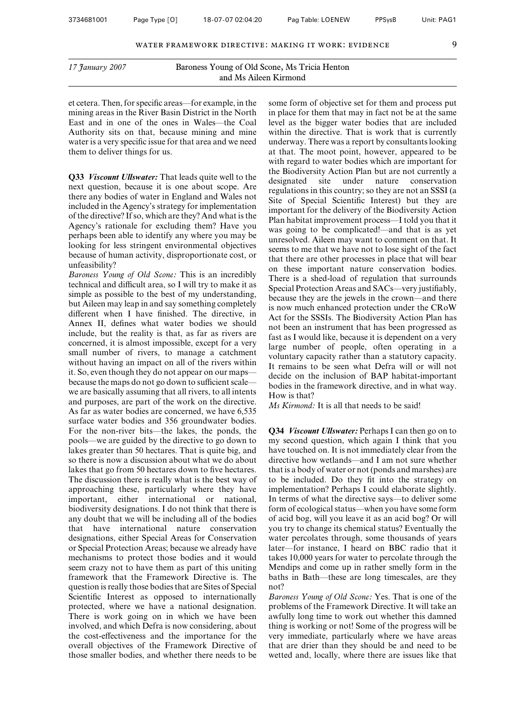et cetera. Then, for specific areas—for example, in the mining areas in the River Basin District in the North East and in one of the ones in Wales—the Coal Authority sits on that, because mining and mine water is a very specific issue for that area and we need them to deliver things for us.

**Q33** *Viscount Ullswater:* That leads quite well to the next question, because it is one about scope. Are there any bodies of water in England and Wales not included in the Agency's strategy for implementation of the directive? If so, which are they? And what is the Agency's rationale for excluding them? Have you perhaps been able to identify any where you may be looking for less stringent environmental objectives because of human activity, disproportionate cost, or unfeasibility?

*Baroness Young of Old Scone:* This is an incredibly technical and difficult area, so I will try to make it as simple as possible to the best of my understanding, but Aileen may leap in and say something completely different when I have finished. The directive, in Annex II, defines what water bodies we should include, but the reality is that, as far as rivers are concerned, it is almost impossible, except for a very small number of rivers, to manage a catchment without having an impact on all of the rivers within it. So, even though they do not appear on our maps because the maps do not go down to sufficient scale we are basically assuming that all rivers, to all intents and purposes, are part of the work on the directive. As far as water bodies are concerned, we have 6,535 surface water bodies and 356 groundwater bodies. For the non-river bits—the lakes, the ponds, the pools—we are guided by the directive to go down to lakes greater than 50 hectares. That is quite big, and so there is now a discussion about what we do about lakes that go from 50 hectares down to five hectares. The discussion there is really what is the best way of approaching these, particularly where they have important, either international or national, biodiversity designations. I do not think that there is any doubt that we will be including all of the bodies that have international nature conservation designations, either Special Areas for Conservation or Special Protection Areas; because we already have mechanisms to protect those bodies and it would seem crazy not to have them as part of this uniting framework that the Framework Directive is. The question is really those bodies that are Sites of Special Scientific Interest as opposed to internationally protected, where we have a national designation. There is work going on in which we have been involved, and which Defra is now considering, about the cost-effectiveness and the importance for the overall objectives of the Framework Directive of those smaller bodies, and whether there needs to be

some form of objective set for them and process put in place for them that may in fact not be at the same level as the bigger water bodies that are included within the directive. That is work that is currently underway. There was a report by consultants looking at that. The moot point, however, appeared to be with regard to water bodies which are important for the Biodiversity Action Plan but are not currently a designated site under nature conservation regulations in this country; so they are not an SSSI (a Site of Special Scientific Interest) but they are important for the delivery of the Biodiversity Action Plan habitat improvement process—I told you that it was going to be complicated!—and that is as yet unresolved. Aileen may want to comment on that. It seems to me that we have not to lose sight of the fact that there are other processes in place that will bear on these important nature conservation bodies. There is a shed-load of regulation that surrounds Special Protection Areas and SACs—very justifiably, because they are the jewels in the crown—and there is now much enhanced protection under the CRoW Act for the SSSIs. The Biodiversity Action Plan has not been an instrument that has been progressed as fast as I would like, because it is dependent on a very large number of people, often operating in a voluntary capacity rather than a statutory capacity. It remains to be seen what Defra will or will not decide on the inclusion of BAP habitat-important bodies in the framework directive, and in what way. How is that?

*Ms Kirmond:* It is all that needs to be said!

**Q34** *Viscount Ullswater:* Perhaps I can then go on to my second question, which again I think that you have touched on. It is not immediately clear from the directive how wetlands—and I am not sure whether that is a body of water or not (ponds and marshes) are to be included. Do they fit into the strategy on implementation? Perhaps I could elaborate slightly. In terms of what the directive says—to deliver some form of ecological status—when you have some form of acid bog, will you leave it as an acid bog? Or will you try to change its chemical status? Eventually the water percolates through, some thousands of years later—for instance, I heard on BBC radio that it takes 10,000 years for water to percolate through the Mendips and come up in rather smelly form in the baths in Bath—these are long timescales, are they not?

*Baroness Young of Old Scone:* Yes. That is one of the problems of the Framework Directive. It will take an awfully long time to work out whether this damned thing is working or not! Some of the progress will be very immediate, particularly where we have areas that are drier than they should be and need to be wetted and, locally, where there are issues like that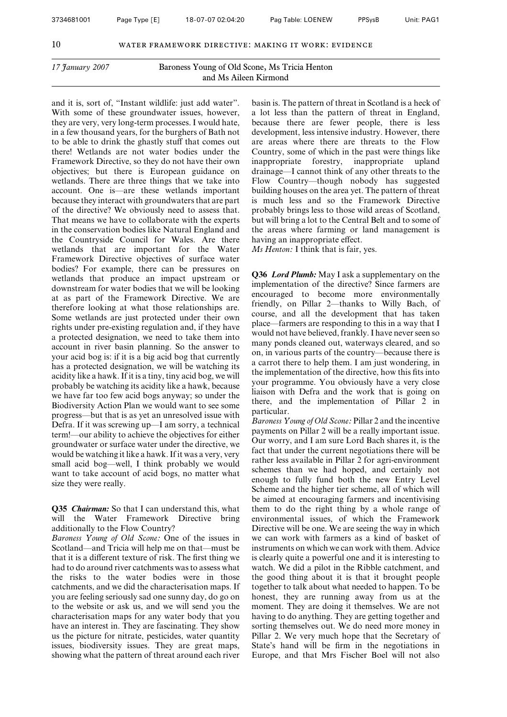and it is, sort of, "Instant wildlife: just add water". With some of these groundwater issues, however, they are very, very long-term processes. I would hate, in a few thousand years, for the burghers of Bath not to be able to drink the ghastly stuff that comes out there! Wetlands are not water bodies under the Framework Directive, so they do not have their own objectives; but there is European guidance on wetlands. There are three things that we take into account. One is—are these wetlands important because they interact with groundwaters that are part of the directive? We obviously need to assess that. That means we have to collaborate with the experts in the conservation bodies like Natural England and the Countryside Council for Wales. Are there wetlands that are important for the Water Framework Directive objectives of surface water bodies? For example, there can be pressures on wetlands that produce an impact upstream or downstream for water bodies that we will be looking at as part of the Framework Directive. We are therefore looking at what those relationships are. Some wetlands are just protected under their own rights under pre-existing regulation and, if they have a protected designation, we need to take them into account in river basin planning. So the answer to your acid bog is: if it is a big acid bog that currently has a protected designation, we will be watching its acidity like a hawk. If it is a tiny, tiny acid bog, we will probably be watching its acidity like a hawk, because we have far too few acid bogs anyway; so under the Biodiversity Action Plan we would want to see some progress—but that is as yet an unresolved issue with Defra. If it was screwing up—I am sorry, a technical term!—our ability to achieve the objectives for either groundwater or surface water under the directive, we would be watching it like a hawk. If it was a very, very small acid bog—well, I think probably we would want to take account of acid bogs, no matter what size they were really.

**Q35** *Chairman:* So that I can understand this, what will the Water Framework Directive bring additionally to the Flow Country?

*Baroness Young of Old Scone:* One of the issues in Scotland—and Tricia will help me on that—must be that it is a different texture of risk. The first thing we had to do around river catchments was to assess what the risks to the water bodies were in those catchments, and we did the characterisation maps. If you are feeling seriously sad one sunny day, do go on to the website or ask us, and we will send you the characterisation maps for any water body that you have an interest in. They are fascinating. They show us the picture for nitrate, pesticides, water quantity issues, biodiversity issues. They are great maps, showing what the pattern of threat around each river

basin is. The pattern of threat in Scotland is a heck of a lot less than the pattern of threat in England, because there are fewer people, there is less development, less intensive industry. However, there are areas where there are threats to the Flow Country, some of which in the past were things like inappropriate forestry, inappropriate upland drainage—I cannot think of any other threats to the Flow Country—though nobody has suggested building houses on the area yet. The pattern of threat is much less and so the Framework Directive probably brings less to those wild areas of Scotland, but will bring a lot to the Central Belt and to some of the areas where farming or land management is having an inappropriate effect.

*Ms Henton:* I think that is fair, yes.

**Q36** *Lord Plumb:* May I ask a supplementary on the implementation of the directive? Since farmers are encouraged to become more environmentally friendly, on Pillar 2—thanks to Willy Bach, of course, and all the development that has taken place—farmers are responding to this in a way that I would not have believed, frankly. I have never seen so many ponds cleaned out, waterways cleared, and so on, in various parts of the country—because there is a carrot there to help them. I am just wondering, in the implementation of the directive, how this fits into your programme. You obviously have a very close liaison with Defra and the work that is going on there, and the implementation of Pillar 2 in particular.

*Baroness Young of Old Scone:* Pillar 2 and the incentive payments on Pillar 2 will be a really important issue. Our worry, and I am sure Lord Bach shares it, is the fact that under the current negotiations there will be rather less available in Pillar 2 for agri-environment schemes than we had hoped, and certainly not enough to fully fund both the new Entry Level Scheme and the higher tier scheme, all of which will be aimed at encouraging farmers and incentivising them to do the right thing by a whole range of environmental issues, of which the Framework Directive will be one. We are seeing the way in which we can work with farmers as a kind of basket of instruments on which we can work with them. Advice is clearly quite a powerful one and it is interesting to watch. We did a pilot in the Ribble catchment, and the good thing about it is that it brought people together to talk about what needed to happen. To be honest, they are running away from us at the moment. They are doing it themselves. We are not having to do anything. They are getting together and sorting themselves out. We do need more money in Pillar 2. We very much hope that the Secretary of State's hand will be firm in the negotiations in Europe, and that Mrs Fischer Boel will not also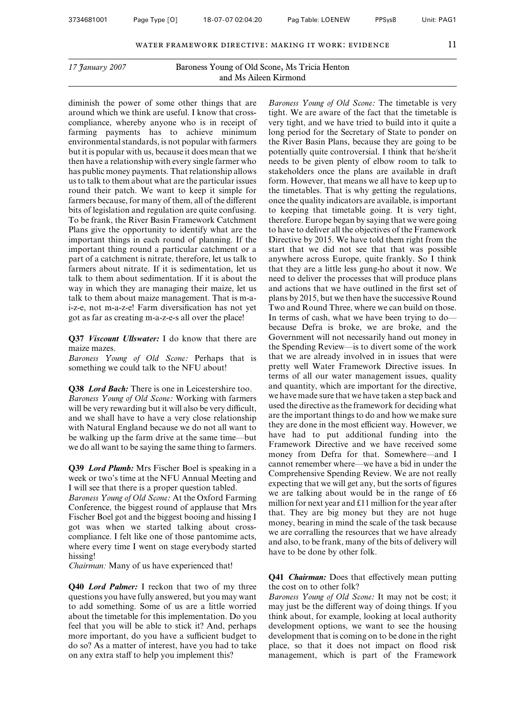diminish the power of some other things that are around which we think are useful. I know that crosscompliance, whereby anyone who is in receipt of farming payments has to achieve minimum environmental standards, is not popular with farmers but it is popular with us, because it does mean that we then have a relationship with every single farmer who has public money payments. That relationship allows us to talk to them about what are the particular issues round their patch. We want to keep it simple for farmers because, for many of them, all of the different bits of legislation and regulation are quite confusing. To be frank, the River Basin Framework Catchment Plans give the opportunity to identify what are the important things in each round of planning. If the important thing round a particular catchment or a part of a catchment is nitrate, therefore, let us talk to farmers about nitrate. If it is sedimentation, let us talk to them about sedimentation. If it is about the way in which they are managing their maize, let us talk to them about maize management. That is m-ai-z-e, not m-a-z-e! Farm diversification has not yet got as far as creating m-a-z-e-s all over the place!

**Q37** *Viscount Ullswater:* I do know that there are maize mazes.

*Baroness Young of Old Scone:* Perhaps that is something we could talk to the NFU about!

**Q38** *Lord Bach:* There is one in Leicestershire too. *Baroness Young of Old Scone:* Working with farmers will be very rewarding but it will also be very difficult, and we shall have to have a very close relationship with Natural England because we do not all want to be walking up the farm drive at the same time—but we do all want to be saying the same thing to farmers.

**Q39** *Lord Plumb:* Mrs Fischer Boel is speaking in a week or two's time at the NFU Annual Meeting and I will see that there is a proper question tabled.

*Baroness Young of Old Scone:* At the Oxford Farming Conference, the biggest round of applause that Mrs Fischer Boel got and the biggest booing and hissing I got was when we started talking about crosscompliance. I felt like one of those pantomime acts, where every time I went on stage everybody started hissing!

*Chairman:* Many of us have experienced that!

**Q40** *Lord Palmer:* I reckon that two of my three questions you have fully answered, but you may want to add something. Some of us are a little worried about the timetable for this implementation. Do you feel that you will be able to stick it? And, perhaps more important, do you have a sufficient budget to do so? As a matter of interest, have you had to take on any extra staff to help you implement this?

*Baroness Young of Old Scone:* The timetable is very tight. We are aware of the fact that the timetable is very tight, and we have tried to build into it quite a long period for the Secretary of State to ponder on the River Basin Plans, because they are going to be potentially quite controversial. I think that he/she/it needs to be given plenty of elbow room to talk to stakeholders once the plans are available in draft form. However, that means we all have to keep up to the timetables. That is why getting the regulations, once the quality indicators are available, is important to keeping that timetable going. It is very tight, therefore. Europe began by saying that we were going to have to deliver all the objectives of the Framework Directive by 2015. We have told them right from the start that we did not see that that was possible anywhere across Europe, quite frankly. So I think that they are a little less gung-ho about it now. We need to deliver the processes that will produce plans and actions that we have outlined in the first set of plans by 2015, but we then have the successive Round Two and Round Three, where we can build on those. In terms of cash, what we have been trying to do because Defra is broke, we are broke, and the Government will not necessarily hand out money in the Spending Review—is to divert some of the work that we are already involved in in issues that were pretty well Water Framework Directive issues. In terms of all our water management issues, quality and quantity, which are important for the directive, we have made sure that we have taken a step back and used the directive as the framework for deciding what are the important things to do and how we make sure they are done in the most efficient way. However, we have had to put additional funding into the Framework Directive and we have received some money from Defra for that. Somewhere—and I cannot remember where—we have a bid in under the Comprehensive Spending Review. We are not really expecting that we will get any, but the sorts of figures we are talking about would be in the range of £6 million for next year and  $£11$  million for the year after that. They are big money but they are not huge money, bearing in mind the scale of the task because we are corralling the resources that we have already and also, to be frank, many of the bits of delivery will have to be done by other folk.

**Q41** *Chairman:* Does that effectively mean putting the cost on to other folk?

*Baroness Young of Old Scone:* It may not be cost; it may just be the different way of doing things. If you think about, for example, looking at local authority development options, we want to see the housing development that is coming on to be done in the right place, so that it does not impact on flood risk management, which is part of the Framework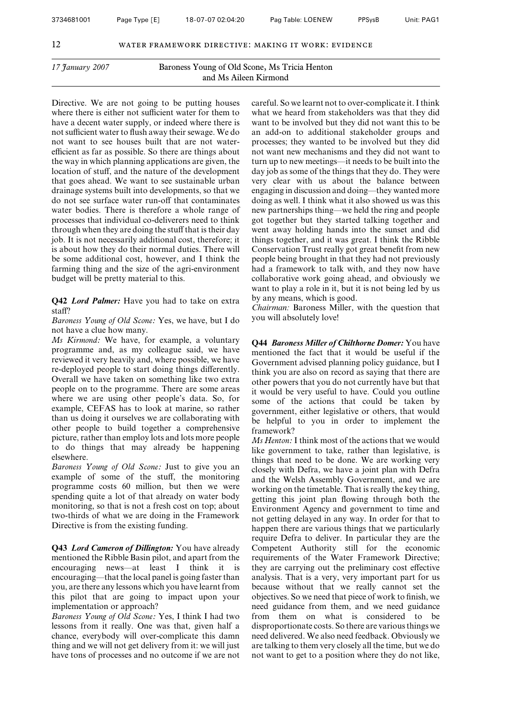Directive. We are not going to be putting houses where there is either not sufficient water for them to have a decent water supply, or indeed where there is not sufficient water to flush away their sewage. We do not want to see houses built that are not waterefficient as far as possible. So there are things about the way in which planning applications are given, the location of stuff, and the nature of the development that goes ahead. We want to see sustainable urban drainage systems built into developments, so that we do not see surface water run-off that contaminates water bodies. There is therefore a whole range of processes that individual co-deliverers need to think through when they are doing the stuff that is their day job. It is not necessarily additional cost, therefore; it is about how they do their normal duties. There will be some additional cost, however, and I think the farming thing and the size of the agri-environment budget will be pretty material to this.

**Q42** *Lord Palmer:* Have you had to take on extra staff?

*Baroness Young of Old Scone:* Yes, we have, but I do not have a clue how many.

*Ms Kirmond:* We have, for example, a voluntary programme and, as my colleague said, we have reviewed it very heavily and, where possible, we have re-deployed people to start doing things differently. Overall we have taken on something like two extra people on to the programme. There are some areas where we are using other people's data. So, for example, CEFAS has to look at marine, so rather than us doing it ourselves we are collaborating with other people to build together a comprehensive picture, rather than employ lots and lots more people to do things that may already be happening elsewhere.

*Baroness Young of Old Scone:* Just to give you an example of some of the stuff, the monitoring programme costs 60 million, but then we were spending quite a lot of that already on water body monitoring, so that is not a fresh cost on top; about two-thirds of what we are doing in the Framework Directive is from the existing funding.

**Q43** *Lord Cameron of Dillington:* You have already mentioned the Ribble Basin pilot, and apart from the encouraging news—at least I think it is encouraging—that the local panel is going faster than you, are there any lessons which you have learnt from this pilot that are going to impact upon your implementation or approach?

*Baroness Young of Old Scone:* Yes, I think I had two lessons from it really. One was that, given half a chance, everybody will over-complicate this damn thing and we will not get delivery from it: we will just have tons of processes and no outcome if we are not

careful. So we learnt not to over-complicate it. I think what we heard from stakeholders was that they did want to be involved but they did not want this to be an add-on to additional stakeholder groups and processes; they wanted to be involved but they did not want new mechanisms and they did not want to turn up to new meetings—it needs to be built into the day job as some of the things that they do. They were very clear with us about the balance between engaging in discussion and doing—they wanted more doing as well. I think what it also showed us was this new partnerships thing—we held the ring and people got together but they started talking together and went away holding hands into the sunset and did things together, and it was great. I think the Ribble Conservation Trust really got great benefit from new people being brought in that they had not previously had a framework to talk with, and they now have collaborative work going ahead, and obviously we want to play a role in it, but it is not being led by us by any means, which is good.

*Chairman:* Baroness Miller, with the question that you will absolutely love!

**Q44** *Baroness Miller of Chilthorne Domer:* You have mentioned the fact that it would be useful if the Government advised planning policy guidance, but I think you are also on record as saying that there are other powers that you do not currently have but that it would be very useful to have. Could you outline some of the actions that could be taken by government, either legislative or others, that would be helpful to you in order to implement the framework?

*Ms Henton:* I think most of the actions that we would like government to take, rather than legislative, is things that need to be done. We are working very closely with Defra, we have a joint plan with Defra and the Welsh Assembly Government, and we are working on the timetable. That is really the key thing, getting this joint plan flowing through both the Environment Agency and government to time and not getting delayed in any way. In order for that to happen there are various things that we particularly require Defra to deliver. In particular they are the Competent Authority still for the economic requirements of the Water Framework Directive; they are carrying out the preliminary cost effective analysis. That is a very, very important part for us because without that we really cannot set the objectives. So we need that piece of work to finish, we need guidance from them, and we need guidance from them on what is considered to be disproportionate costs. So there are various things we need delivered. We also need feedback. Obviously we are talking to them very closely all the time, but we do not want to get to a position where they do not like,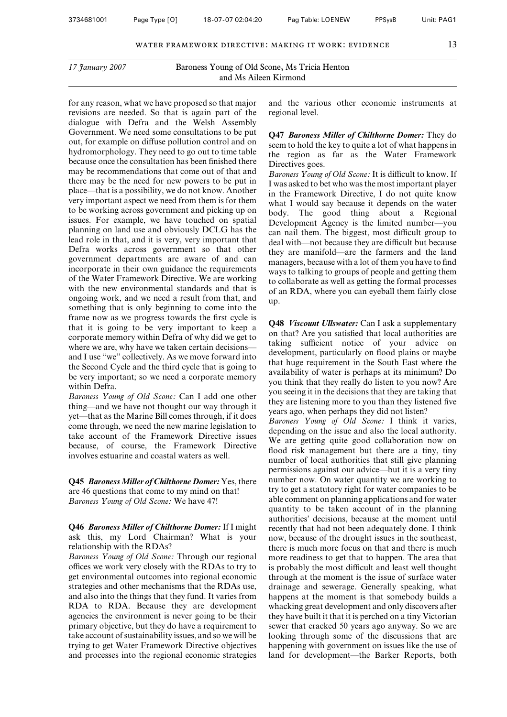for any reason, what we have proposed so that major revisions are needed. So that is again part of the dialogue with Defra and the Welsh Assembly Government. We need some consultations to be put out, for example on diffuse pollution control and on hydromorphology. They need to go out to time table because once the consultation has been finished there may be recommendations that come out of that and there may be the need for new powers to be put in place—that is a possibility, we do not know. Another very important aspect we need from them is for them to be working across government and picking up on issues. For example, we have touched on spatial planning on land use and obviously DCLG has the lead role in that, and it is very, very important that Defra works across government so that other government departments are aware of and can incorporate in their own guidance the requirements of the Water Framework Directive. We are working with the new environmental standards and that is ongoing work, and we need a result from that, and something that is only beginning to come into the frame now as we progress towards the first cycle is that it is going to be very important to keep a corporate memory within Defra of why did we get to where we are, why have we taken certain decisions and I use "we" collectively. As we move forward into the Second Cycle and the third cycle that is going to be very important; so we need a corporate memory within Defra.

*Baroness Young of Old Scone:* Can I add one other thing—and we have not thought our way through it yet—that as the Marine Bill comes through, if it does come through, we need the new marine legislation to take account of the Framework Directive issues because, of course, the Framework Directive involves estuarine and coastal waters as well.

**Q45** *Baroness Miller of Chilthorne Domer:* Yes, there are 46 questions that come to my mind on that! *Baroness Young of Old Scone:* We have 47!

**Q46** *Baroness Miller of Chilthorne Domer:* If I might ask this, my Lord Chairman? What is your relationship with the RDAs?

*Baroness Young of Old Scone:* Through our regional offices we work very closely with the RDAs to try to get environmental outcomes into regional economic strategies and other mechanisms that the RDAs use, and also into the things that they fund. It varies from RDA to RDA. Because they are development agencies the environment is never going to be their primary objective, but they do have a requirement to take account of sustainability issues, and so we will be trying to get Water Framework Directive objectives and processes into the regional economic strategies and the various other economic instruments at regional level.

**Q47** *Baroness Miller of Chilthorne Domer:* They do seem to hold the key to quite a lot of what happens in the region as far as the Water Framework Directives goes.

*Baroness Young of Old Scone:* It is difficult to know. If I was asked to bet who was the most important player in the Framework Directive, I do not quite know what I would say because it depends on the water body. The good thing about a Regional Development Agency is the limited number—you can nail them. The biggest, most difficult group to deal with—not because they are difficult but because they are manifold—are the farmers and the land managers, because with a lot of them you have to find ways to talking to groups of people and getting them to collaborate as well as getting the formal processes of an RDA, where you can eyeball them fairly close up.

**Q48** *Viscount Ullswater:* Can I ask a supplementary on that? Are you satisfied that local authorities are taking sufficient notice of your advice on development, particularly on flood plains or maybe that huge requirement in the South East where the availability of water is perhaps at its minimum? Do you think that they really do listen to you now? Are you seeing it in the decisions that they are taking that they are listening more to you than they listened five years ago, when perhaps they did not listen?

*Baroness Young of Old Scone:* I think it varies, depending on the issue and also the local authority. We are getting quite good collaboration now on flood risk management but there are a tiny, tiny number of local authorities that still give planning permissions against our advice—but it is a very tiny number now. On water quantity we are working to try to get a statutory right for water companies to be able comment on planning applications and for water quantity to be taken account of in the planning authorities' decisions, because at the moment until recently that had not been adequately done. I think now, because of the drought issues in the southeast, there is much more focus on that and there is much more readiness to get that to happen. The area that is probably the most difficult and least well thought through at the moment is the issue of surface water drainage and sewerage. Generally speaking, what happens at the moment is that somebody builds a whacking great development and only discovers after they have built it that it is perched on a tiny Victorian sewer that cracked 50 years ago anyway. So we are looking through some of the discussions that are happening with government on issues like the use of land for development—the Barker Reports, both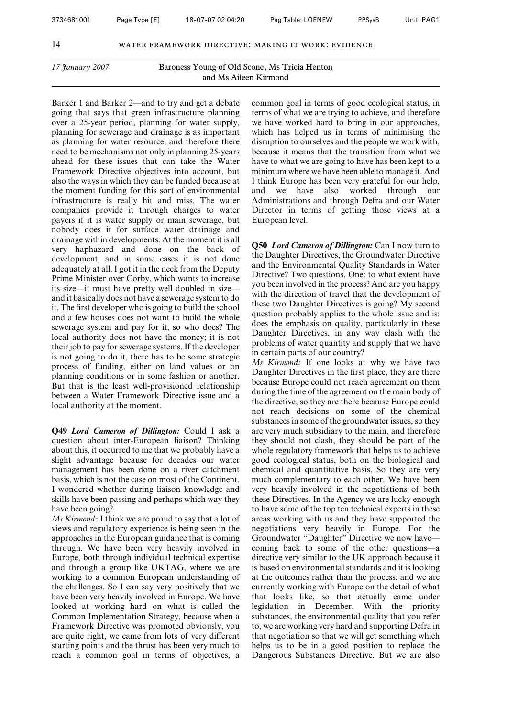Barker 1 and Barker 2—and to try and get a debate going that says that green infrastructure planning over a 25-year period, planning for water supply, planning for sewerage and drainage is as important as planning for water resource, and therefore there need to be mechanisms not only in planning 25-years ahead for these issues that can take the Water Framework Directive objectives into account, but also the ways in which they can be funded because at the moment funding for this sort of environmental infrastructure is really hit and miss. The water companies provide it through charges to water payers if it is water supply or main sewerage, but nobody does it for surface water drainage and drainage within developments. At the moment it is all very haphazard and done on the back of development, and in some cases it is not done adequately at all. I got it in the neck from the Deputy Prime Minister over Corby, which wants to increase its size—it must have pretty well doubled in size and it basically does not have a sewerage system to do it. The first developer who is going to build the school and a few houses does not want to build the whole sewerage system and pay for it, so who does? The local authority does not have the money; it is not their job to pay for sewerage systems. If the developer is not going to do it, there has to be some strategic process of funding, either on land values or on planning conditions or in some fashion or another. But that is the least well-provisioned relationship between a Water Framework Directive issue and a local authority at the moment.

**Q49** *Lord Cameron of Dillington:* Could I ask a question about inter-European liaison? Thinking about this, it occurred to me that we probably have a slight advantage because for decades our water management has been done on a river catchment basis, which is not the case on most of the Continent. I wondered whether during liaison knowledge and skills have been passing and perhaps which way they have been going?

*Ms Kirmond:* I think we are proud to say that a lot of views and regulatory experience is being seen in the approaches in the European guidance that is coming through. We have been very heavily involved in Europe, both through individual technical expertise and through a group like UKTAG, where we are working to a common European understanding of the challenges. So I can say very positively that we have been very heavily involved in Europe. We have looked at working hard on what is called the Common Implementation Strategy, because when a Framework Directive was promoted obviously, you are quite right, we came from lots of very different starting points and the thrust has been very much to reach a common goal in terms of objectives, a

common goal in terms of good ecological status, in terms of what we are trying to achieve, and therefore we have worked hard to bring in our approaches, which has helped us in terms of minimising the disruption to ourselves and the people we work with, because it means that the transition from what we have to what we are going to have has been kept to a minimum where we have been able to manage it. And I think Europe has been very grateful for our help, and we have also worked through our Administrations and through Defra and our Water Director in terms of getting those views at a European level.

**Q50** *Lord Cameron of Dillington:* Can I now turn to the Daughter Directives, the Groundwater Directive and the Environmental Quality Standards in Water Directive? Two questions. One: to what extent have you been involved in the process? And are you happy with the direction of travel that the development of these two Daughter Directives is going? My second question probably applies to the whole issue and is: does the emphasis on quality, particularly in these Daughter Directives, in any way clash with the problems of water quantity and supply that we have in certain parts of our country?

*Ms Kirmond:* If one looks at why we have two Daughter Directives in the first place, they are there because Europe could not reach agreement on them during the time of the agreement on the main body of the directive, so they are there because Europe could not reach decisions on some of the chemical substances in some of the groundwater issues, so they are very much subsidiary to the main, and therefore they should not clash, they should be part of the whole regulatory framework that helps us to achieve good ecological status, both on the biological and chemical and quantitative basis. So they are very much complementary to each other. We have been very heavily involved in the negotiations of both these Directives. In the Agency we are lucky enough to have some of the top ten technical experts in these areas working with us and they have supported the negotiations very heavily in Europe. For the Groundwater "Daughter" Directive we now have coming back to some of the other questions—a directive very similar to the UK approach because it is based on environmental standards and it is looking at the outcomes rather than the process; and we are currently working with Europe on the detail of what that looks like, so that actually came under legislation in December. With the priority substances, the environmental quality that you refer to, we are working very hard and supporting Defra in that negotiation so that we will get something which helps us to be in a good position to replace the Dangerous Substances Directive. But we are also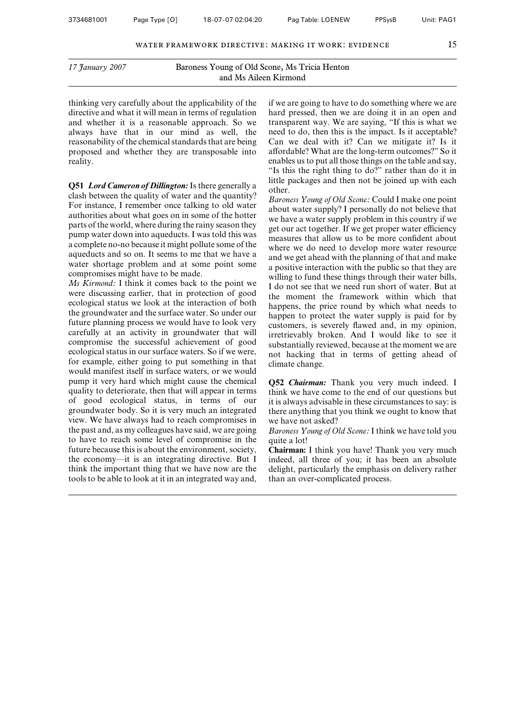thinking very carefully about the applicability of the directive and what it will mean in terms of regulation and whether it is a reasonable approach. So we always have that in our mind as well, the reasonability of the chemical standards that are being proposed and whether they are transposable into reality.

**Q51** *Lord Cameron of Dillington:*Is there generally a clash between the quality of water and the quantity? For instance, I remember once talking to old water authorities about what goes on in some of the hotter parts of the world, where during the rainy season they pump water down into aqueducts. I was told this was a complete no-no because it might pollute some of the aqueducts and so on. It seems to me that we have a water shortage problem and at some point some compromises might have to be made.

*Ms Kirmond:* I think it comes back to the point we were discussing earlier, that in protection of good ecological status we look at the interaction of both the groundwater and the surface water. So under our future planning process we would have to look very carefully at an activity in groundwater that will compromise the successful achievement of good ecological status in our surface waters. So if we were, for example, either going to put something in that would manifest itself in surface waters, or we would pump it very hard which might cause the chemical quality to deteriorate, then that will appear in terms of good ecological status, in terms of our groundwater body. So it is very much an integrated view. We have always had to reach compromises in the past and, as my colleagues have said, we are going to have to reach some level of compromise in the future because this is about the environment, society, the economy—it is an integrating directive. But I think the important thing that we have now are the tools to be able to look at it in an integrated way and,

if we are going to have to do something where we are hard pressed, then we are doing it in an open and transparent way. We are saying, "If this is what we need to do, then this is the impact. Is it acceptable? Can we deal with it? Can we mitigate it? Is it affordable? What are the long-term outcomes?" So it enables us to put all those things on the table and say, "Is this the right thing to do?" rather than do it in little packages and then not be joined up with each other.

*Baroness Young of Old Scone:* Could I make one point about water supply? I personally do not believe that we have a water supply problem in this country if we get our act together. If we get proper water efficiency measures that allow us to be more confident about where we do need to develop more water resource and we get ahead with the planning of that and make a positive interaction with the public so that they are willing to fund these things through their water bills, I do not see that we need run short of water. But at the moment the framework within which that happens, the price round by which what needs to happen to protect the water supply is paid for by customers, is severely flawed and, in my opinion, irretrievably broken. And I would like to see it substantially reviewed, because at the moment we are not hacking that in terms of getting ahead of climate change.

**Q52** *Chairman:* Thank you very much indeed. I think we have come to the end of our questions but it is always advisable in these circumstances to say: is there anything that you think we ought to know that we have not asked?

*Baroness Young of Old Scone:* I think we have told you quite a lot!

**Chairman:** I think you have! Thank you very much indeed, all three of you; it has been an absolute delight, particularly the emphasis on delivery rather than an over-complicated process.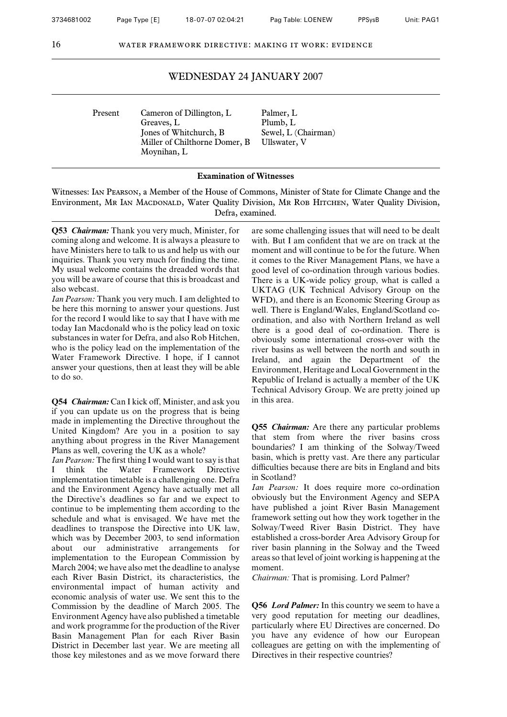| Present | Cameron of Dillington, L      | Palmer, L   |
|---------|-------------------------------|-------------|
|         | Greaves, L                    | Plumb, L    |
|         | Jones of Whitchurch, B.       | Sewel, $L($ |
|         | Miller of Chilthorne Domer, B | Ullswater,  |
|         | Moynihan, L                   |             |

Plumb, L Sewel, L (Chairman) Ullswater, V

#### **Examination of Witnesses**

Witnesses: Ian Pearson, a Member of the House of Commons, Minister of State for Climate Change and the Environment, Mr Ian MacDonald, Water Quality Division, Mr Rob HITCHEN, Water Quality Division, Defra, examined.

**Q53** *Chairman:* Thank you very much, Minister, for coming along and welcome. It is always a pleasure to have Ministers here to talk to us and help us with our inquiries. Thank you very much for finding the time. My usual welcome contains the dreaded words that you will be aware of course that this is broadcast and also webcast.

*Ian Pearson:* Thank you very much. I am delighted to be here this morning to answer your questions. Just for the record I would like to say that I have with me today Ian Macdonald who is the policy lead on toxic substances in water for Defra, and also Rob Hitchen, who is the policy lead on the implementation of the Water Framework Directive. I hope, if I cannot answer your questions, then at least they will be able to do so.

**Q54** *Chairman:* Can I kick off, Minister, and ask you if you can update us on the progress that is being made in implementing the Directive throughout the United Kingdom? Are you in a position to say anything about progress in the River Management Plans as well, covering the UK as a whole?

*Ian Pearson:*The first thing I would want to say is that I think the Water Framework Directive implementation timetable is a challenging one. Defra and the Environment Agency have actually met all the Directive's deadlines so far and we expect to continue to be implementing them according to the schedule and what is envisaged. We have met the deadlines to transpose the Directive into UK law, which was by December 2003, to send information about our administrative arrangements for implementation to the European Commission by March 2004; we have also met the deadline to analyse each River Basin District, its characteristics, the environmental impact of human activity and economic analysis of water use. We sent this to the Commission by the deadline of March 2005. The Environment Agency have also published a timetable and work programme for the production of the River Basin Management Plan for each River Basin District in December last year. We are meeting all those key milestones and as we move forward there

are some challenging issues that will need to be dealt with. But I am confident that we are on track at the moment and will continue to be for the future. When it comes to the River Management Plans, we have a good level of co-ordination through various bodies. There is a UK-wide policy group, what is called a UKTAG (UK Technical Advisory Group on the WFD), and there is an Economic Steering Group as well. There is England/Wales, England/Scotland coordination, and also with Northern Ireland as well there is a good deal of co-ordination. There is obviously some international cross-over with the river basins as well between the north and south in Ireland, and again the Department of the Environment, Heritage and Local Government in the Republic of Ireland is actually a member of the UK Technical Advisory Group. We are pretty joined up in this area.

**Q55** *Chairman:* Are there any particular problems that stem from where the river basins cross boundaries? I am thinking of the Solway/Tweed basin, which is pretty vast. Are there any particular difficulties because there are bits in England and bits in Scotland?

*Ian Pearson:* It does require more co-ordination obviously but the Environment Agency and SEPA have published a joint River Basin Management framework setting out how they work together in the Solway/Tweed River Basin District. They have established a cross-border Area Advisory Group for river basin planning in the Solway and the Tweed areas so that level of joint working is happening at the moment.

*Chairman:* That is promising. Lord Palmer?

**Q56** *Lord Palmer:* In this country we seem to have a very good reputation for meeting our deadlines, particularly where EU Directives are concerned. Do you have any evidence of how our European colleagues are getting on with the implementing of Directives in their respective countries?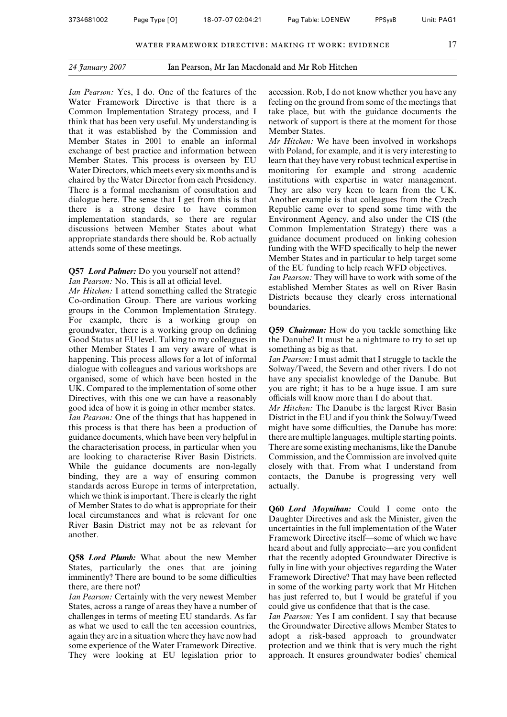*Ian Pearson:* Yes, I do. One of the features of the Water Framework Directive is that there is a Common Implementation Strategy process, and I think that has been very useful. My understanding is that it was established by the Commission and Member States in 2001 to enable an informal exchange of best practice and information between Member States. This process is overseen by EU Water Directors, which meets every six months and is chaired by the Water Director from each Presidency. There is a formal mechanism of consultation and dialogue here. The sense that I get from this is that there is a strong desire to have common implementation standards, so there are regular discussions between Member States about what appropriate standards there should be. Rob actually attends some of these meetings.

#### **Q57** *Lord Palmer:* Do you yourself not attend? *Ian Pearson:* No. This is all at official level.

*Mr Hitchen:* I attend something called the Strategic Co-ordination Group. There are various working groups in the Common Implementation Strategy. For example, there is a working group on groundwater, there is a working group on defining Good Status at EU level. Talking to my colleagues in other Member States I am very aware of what is happening. This process allows for a lot of informal dialogue with colleagues and various workshops are organised, some of which have been hosted in the UK. Compared to the implementation of some other Directives, with this one we can have a reasonably good idea of how it is going in other member states. *Ian Pearson:* One of the things that has happened in this process is that there has been a production of guidance documents, which have been very helpful in the characterisation process, in particular when you are looking to characterise River Basin Districts. While the guidance documents are non-legally binding, they are a way of ensuring common standards across Europe in terms of interpretation, which we think is important. There is clearly the right of Member States to do what is appropriate for their local circumstances and what is relevant for one River Basin District may not be as relevant for another.

**Q58** *Lord Plumb:* What about the new Member States, particularly the ones that are joining imminently? There are bound to be some difficulties there, are there not?

*Ian Pearson:* Certainly with the very newest Member States, across a range of areas they have a number of challenges in terms of meeting EU standards. As far as what we used to call the ten accession countries, again they are in a situation where they have now had some experience of the Water Framework Directive. They were looking at EU legislation prior to

accession. Rob, I do not know whether you have any feeling on the ground from some of the meetings that take place, but with the guidance documents the network of support is there at the moment for those Member States.

*Mr Hitchen:* We have been involved in workshops with Poland, for example, and it is very interesting to learn that they have very robust technical expertise in monitoring for example and strong academic institutions with expertise in water management. They are also very keen to learn from the UK. Another example is that colleagues from the Czech Republic came over to spend some time with the Environment Agency, and also under the CIS (the Common Implementation Strategy) there was a guidance document produced on linking cohesion funding with the WFD specifically to help the newer Member States and in particular to help target some of the EU funding to help reach WFD objectives.

*Ian Pearson:* They will have to work with some of the established Member States as well on River Basin Districts because they clearly cross international boundaries.

**Q59** *Chairman:* How do you tackle something like the Danube? It must be a nightmare to try to set up something as big as that.

*Ian Pearson:* I must admit that I struggle to tackle the Solway/Tweed, the Severn and other rivers. I do not have any specialist knowledge of the Danube. But you are right; it has to be a huge issue. I am sure officials will know more than I do about that.

*Mr Hitchen:* The Danube is the largest River Basin District in the EU and if you think the Solway/Tweed might have some difficulties, the Danube has more: there are multiple languages, multiple starting points. There are some existing mechanisms, like the Danube Commission, and the Commission are involved quite closely with that. From what I understand from contacts, the Danube is progressing very well actually.

**Q60** *Lord Moynihan:* Could I come onto the Daughter Directives and ask the Minister, given the uncertainties in the full implementation of the Water Framework Directive itself—some of which we have heard about and fully appreciate—are you confident that the recently adopted Groundwater Directive is fully in line with your objectives regarding the Water Framework Directive? That may have been reflected in some of the working party work that Mr Hitchen has just referred to, but I would be grateful if you could give us confidence that that is the case.

*Ian Pearson:* Yes I am confident. I say that because the Groundwater Directive allows Member States to adopt a risk-based approach to groundwater protection and we think that is very much the right approach. It ensures groundwater bodies' chemical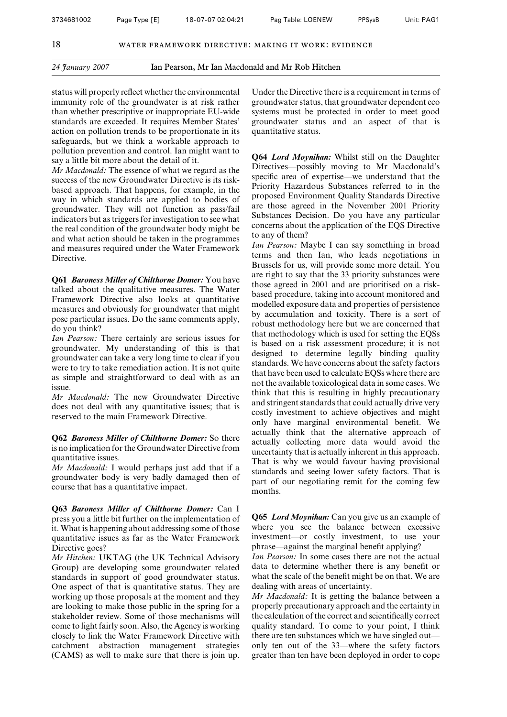*24 January 2007* Ian Pearson, Mr Ian Macdonald and Mr Rob Hitchen

status will properly reflect whether the environmental immunity role of the groundwater is at risk rather than whether prescriptive or inappropriate EU-wide standards are exceeded. It requires Member States' action on pollution trends to be proportionate in its safeguards, but we think a workable approach to pollution prevention and control. Ian might want to say a little bit more about the detail of it.

*Mr Macdonald:* The essence of what we regard as the success of the new Groundwater Directive is its riskbased approach. That happens, for example, in the way in which standards are applied to bodies of groundwater. They will not function as pass/fail indicators but as triggers for investigation to see what the real condition of the groundwater body might be and what action should be taken in the programmes and measures required under the Water Framework Directive.

**Q61** *Baroness Miller of Chilthorne Domer:* You have talked about the qualitative measures. The Water Framework Directive also looks at quantitative measures and obviously for groundwater that might pose particular issues. Do the same comments apply, do you think?

*Ian Pearson:* There certainly are serious issues for groundwater. My understanding of this is that groundwater can take a very long time to clear if you were to try to take remediation action. It is not quite as simple and straightforward to deal with as an issue.

*Mr Macdonald:* The new Groundwater Directive does not deal with any quantitative issues; that is reserved to the main Framework Directive.

**Q62** *Baroness Miller of Chilthorne Domer:* So there is no implication for the Groundwater Directive from quantitative issues.

*Mr Macdonald:* I would perhaps just add that if a groundwater body is very badly damaged then of course that has a quantitative impact.

**Q63** *Baroness Miller of Chilthorne Domer:* Can I press you a little bit further on the implementation of it. What is happening about addressing some of those quantitative issues as far as the Water Framework Directive goes?

*Mr Hitchen:* UKTAG (the UK Technical Advisory Group) are developing some groundwater related standards in support of good groundwater status. One aspect of that is quantitative status. They are working up those proposals at the moment and they are looking to make those public in the spring for a stakeholder review. Some of those mechanisms will come to light fairly soon. Also, the Agency is working closely to link the Water Framework Directive with catchment abstraction management strategies (CAMS) as well to make sure that there is join up.

Under the Directive there is a requirement in terms of groundwater status, that groundwater dependent eco systems must be protected in order to meet good groundwater status and an aspect of that is quantitative status.

**Q64** *Lord Moynihan:* Whilst still on the Daughter Directives—possibly moving to Mr Macdonald's specific area of expertise—we understand that the Priority Hazardous Substances referred to in the proposed Environment Quality Standards Directive are those agreed in the November 2001 Priority Substances Decision. Do you have any particular concerns about the application of the EQS Directive to any of them?

*Ian Pearson:* Maybe I can say something in broad terms and then Ian, who leads negotiations in Brussels for us, will provide some more detail. You are right to say that the 33 priority substances were those agreed in 2001 and are prioritised on a riskbased procedure, taking into account monitored and modelled exposure data and properties of persistence by accumulation and toxicity. There is a sort of robust methodology here but we are concerned that that methodology which is used for setting the EQSs is based on a risk assessment procedure; it is not designed to determine legally binding quality standards. We have concerns about the safety factors that have been used to calculate EQSs where there are not the available toxicological data in some cases. We think that this is resulting in highly precautionary and stringent standards that could actually drive very costly investment to achieve objectives and might only have marginal environmental benefit. We actually think that the alternative approach of actually collecting more data would avoid the uncertainty that is actually inherent in this approach. That is why we would favour having provisional standards and seeing lower safety factors. That is part of our negotiating remit for the coming few months.

**Q65** *Lord Moynihan:* Can you give us an example of where you see the balance between excessive investment—or costly investment, to use your phrase—against the marginal benefit applying?

*Ian Pearson:* In some cases there are not the actual data to determine whether there is any benefit or what the scale of the benefit might be on that. We are dealing with areas of uncertainty.

*Mr Macdonald:* It is getting the balance between a properly precautionary approach and the certainty in the calculation of the correct and scientifically correct quality standard. To come to your point, I think there are ten substances which we have singled out only ten out of the 33—where the safety factors greater than ten have been deployed in order to cope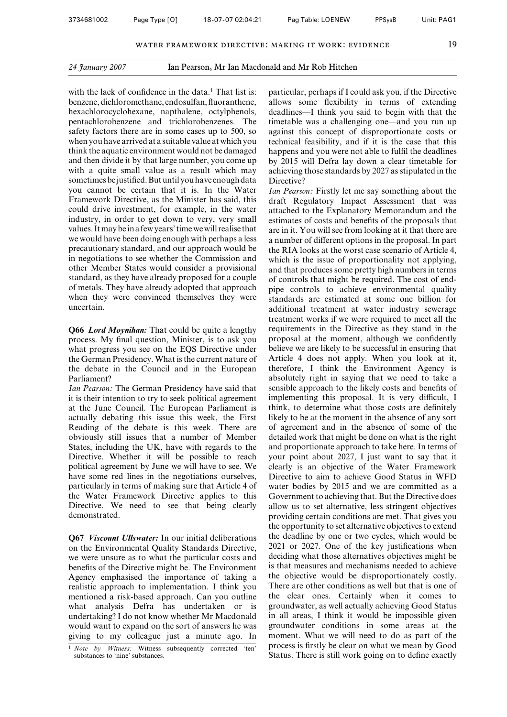with the lack of confidence in the data.<sup>1</sup> That list is: benzene, dichloromethane, endosulfan, fluoranthene, hexachlorocyclohexane, napthalene, octylphenols, pentachlorobenzene and trichlorobenzenes. The safety factors there are in some cases up to 500, so when you have arrived at a suitable value at which you think the aquatic environment would not be damaged and then divide it by that large number, you come up with a quite small value as a result which may sometimes bejustified.But until you have enough data you cannot be certain that it is. In the Water Framework Directive, as the Minister has said, this could drive investment, for example, in the water industry, in order to get down to very, very small values. Itmay bein a few years' time we will realise that we would have been doing enough with perhaps a less precautionary standard, and our approach would be in negotiations to see whether the Commission and other Member States would consider a provisional standard, as they have already proposed for a couple of metals. They have already adopted that approach when they were convinced themselves they were uncertain.

**Q66** *Lord Moynihan:* That could be quite a lengthy process. My final question, Minister, is to ask you what progress you see on the EQS Directive under the German Presidency. What is the current nature of the debate in the Council and in the European Parliament?

*Ian Pearson:* The German Presidency have said that it is their intention to try to seek political agreement at the June Council. The European Parliament is actually debating this issue this week, the First Reading of the debate is this week. There are obviously still issues that a number of Member States, including the UK, have with regards to the Directive. Whether it will be possible to reach political agreement by June we will have to see. We have some red lines in the negotiations ourselves, particularly in terms of making sure that Article 4 of the Water Framework Directive applies to this Directive. We need to see that being clearly demonstrated.

**Q67** *Viscount Ullswater:* In our initial deliberations on the Environmental Quality Standards Directive, we were unsure as to what the particular costs and benefits of the Directive might be. The Environment Agency emphasised the importance of taking a realistic approach to implementation. I think you mentioned a risk-based approach. Can you outline what analysis Defra has undertaken or is undertaking? I do not know whether Mr Macdonald would want to expand on the sort of answers he was giving to my colleague just a minute ago. In particular, perhaps if I could ask you, if the Directive allows some flexibility in terms of extending deadlines—I think you said to begin with that the timetable was a challenging one—and you run up against this concept of disproportionate costs or technical feasibility, and if it is the case that this happens and you were not able to fulfil the deadlines by 2015 will Defra lay down a clear timetable for achieving those standards by 2027 as stipulated in the Directive?

*Ian Pearson:* Firstly let me say something about the draft Regulatory Impact Assessment that was attached to the Explanatory Memorandum and the estimates of costs and benefits of the proposals that are in it. You will see from looking at it that there are a number of different options in the proposal. In part the RIA looks at the worst case scenario of Article 4, which is the issue of proportionality not applying, and that produces some pretty high numbers in terms of controls that might be required. The cost of endpipe controls to achieve environmental quality standards are estimated at some one billion for additional treatment at water industry sewerage treatment works if we were required to meet all the requirements in the Directive as they stand in the proposal at the moment, although we confidently believe we are likely to be successful in ensuring that Article 4 does not apply. When you look at it, therefore, I think the Environment Agency is absolutely right in saying that we need to take a sensible approach to the likely costs and benefits of implementing this proposal. It is very difficult, I think, to determine what those costs are definitely likely to be at the moment in the absence of any sort of agreement and in the absence of some of the detailed work that might be done on what is the right and proportionate approach to take here. In terms of your point about 2027, I just want to say that it clearly is an objective of the Water Framework Directive to aim to achieve Good Status in WFD water bodies by 2015 and we are committed as a Government to achieving that. But the Directive does allow us to set alternative, less stringent objectives providing certain conditions are met. That gives you the opportunity to set alternative objectives to extend the deadline by one or two cycles, which would be 2021 or 2027. One of the key justifications when deciding what those alternatives objectives might be is that measures and mechanisms needed to achieve the objective would be disproportionately costly. There are other conditions as well but that is one of the clear ones. Certainly when it comes to groundwater, as well actually achieving Good Status in all areas, I think it would be impossible given groundwater conditions in some areas at the moment. What we will need to do as part of the process is firstly be clear on what we mean by Good Status. There is still work going on to define exactly

<sup>1</sup> *Note by Witness:* Witness subsequently corrected 'ten' substances to 'nine' substances.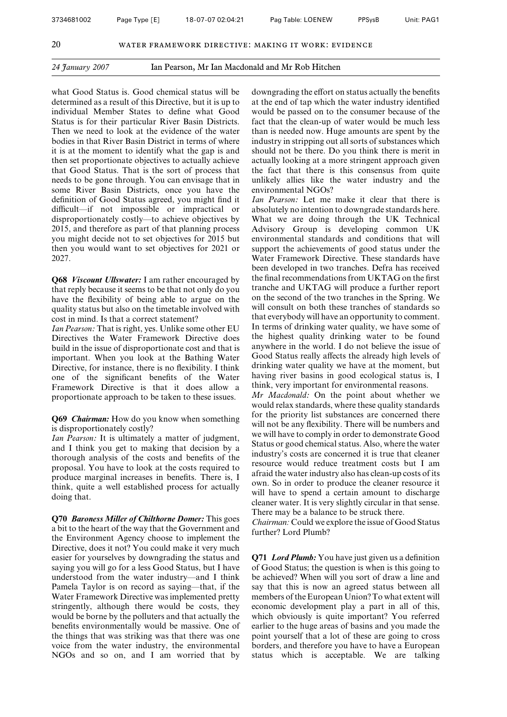what Good Status is. Good chemical status will be determined as a result of this Directive, but it is up to individual Member States to define what Good Status is for their particular River Basin Districts. Then we need to look at the evidence of the water bodies in that River Basin District in terms of where it is at the moment to identify what the gap is and then set proportionate objectives to actually achieve that Good Status. That is the sort of process that needs to be gone through. You can envisage that in some River Basin Districts, once you have the definition of Good Status agreed, you might find it difficult—if not impossible or impractical or disproportionately costly—to achieve objectives by 2015, and therefore as part of that planning process you might decide not to set objectives for 2015 but then you would want to set objectives for 2021 or 2027.

**Q68** *Viscount Ullswater:* I am rather encouraged by that reply because it seems to be that not only do you have the flexibility of being able to argue on the quality status but also on the timetable involved with cost in mind. Is that a correct statement?

*Ian Pearson:* That is right, yes. Unlike some other EU Directives the Water Framework Directive does build in the issue of disproportionate cost and that is important. When you look at the Bathing Water Directive, for instance, there is no flexibility. I think one of the significant benefits of the Water Framework Directive is that it does allow a proportionate approach to be taken to these issues.

#### **Q69** *Chairman:* How do you know when something is disproportionately costly?

*Ian Pearson:* It is ultimately a matter of judgment, and I think you get to making that decision by a thorough analysis of the costs and benefits of the proposal. You have to look at the costs required to produce marginal increases in benefits. There is, I think, quite a well established process for actually doing that.

**Q70** *Baroness Miller of Chilthorne Domer:* This goes a bit to the heart of the way that the Government and the Environment Agency choose to implement the Directive, does it not? You could make it very much easier for yourselves by downgrading the status and saying you will go for a less Good Status, but I have understood from the water industry—and I think Pamela Taylor is on record as saying—that, if the Water Framework Directive was implemented pretty stringently, although there would be costs, they would be borne by the polluters and that actually the benefits environmentally would be massive. One of the things that was striking was that there was one voice from the water industry, the environmental NGOs and so on, and I am worried that by

downgrading the effort on status actually the benefits at the end of tap which the water industry identified would be passed on to the consumer because of the fact that the clean-up of water would be much less than is needed now. Huge amounts are spent by the industry in stripping out all sorts of substances which should not be there. Do you think there is merit in actually looking at a more stringent approach given the fact that there is this consensus from quite unlikely allies like the water industry and the environmental NGOs?

*Ian Pearson:* Let me make it clear that there is absolutely no intention to downgrade standards here. What we are doing through the UK Technical Advisory Group is developing common UK environmental standards and conditions that will support the achievements of good status under the Water Framework Directive. These standards have been developed in two tranches. Defra has received the final recommendations from UKTAG on the first tranche and UKTAG will produce a further report on the second of the two tranches in the Spring. We will consult on both these tranches of standards so that everybody will have an opportunity to comment. In terms of drinking water quality, we have some of the highest quality drinking water to be found anywhere in the world. I do not believe the issue of Good Status really affects the already high levels of drinking water quality we have at the moment, but having river basins in good ecological status is, I think, very important for environmental reasons.

*Mr Macdonald:* On the point about whether we would relax standards, where these quality standards for the priority list substances are concerned there will not be any flexibility. There will be numbers and we will have to comply in order to demonstrate Good Status or good chemical status. Also, where the water industry's costs are concerned it is true that cleaner resource would reduce treatment costs but I am afraid the water industry also has clean-up costs of its own. So in order to produce the cleaner resource it will have to spend a certain amount to discharge cleaner water. It is very slightly circular in that sense. There may be a balance to be struck there.

*Chairman:* Could we explore the issue of Good Status further? Lord Plumb?

**Q71** *Lord Plumb:* You have just given us a definition of Good Status; the question is when is this going to be achieved? When will you sort of draw a line and say that this is now an agreed status between all members of the European Union? To what extent will economic development play a part in all of this, which obviously is quite important? You referred earlier to the huge areas of basins and you made the point yourself that a lot of these are going to cross borders, and therefore you have to have a European status which is acceptable. We are talking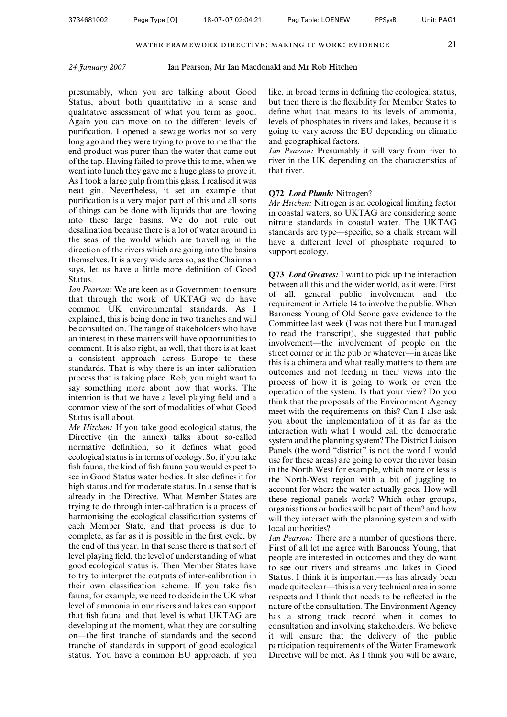presumably, when you are talking about Good Status, about both quantitative in a sense and qualitative assessment of what you term as good. Again you can move on to the different levels of purification. I opened a sewage works not so very long ago and they were trying to prove to me that the end product was purer than the water that came out of the tap. Having failed to prove this to me, when we went into lunch they gave me a huge glass to prove it. As I took a large gulp from this glass, I realised it was neat gin. Nevertheless, it set an example that purification is a very major part of this and all sorts of things can be done with liquids that are flowing into these large basins. We do not rule out desalination because there is a lot of water around in the seas of the world which are travelling in the direction of the rivers which are going into the basins themselves. It is a very wide area so, as the Chairman says, let us have a little more definition of Good Status.

*Ian Pearson:* We are keen as a Government to ensure that through the work of UKTAG we do have common UK environmental standards. As I explained, this is being done in two tranches and will be consulted on. The range of stakeholders who have an interest in these matters will have opportunities to comment. It is also right, as well, that there is at least a consistent approach across Europe to these standards. That is why there is an inter-calibration process that is taking place. Rob, you might want to say something more about how that works. The intention is that we have a level playing field and a common view of the sort of modalities of what Good Status is all about.

*Mr Hitchen:* If you take good ecological status, the Directive (in the annex) talks about so-called normative definition, so it defines what good ecological status is in terms of ecology. So, if you take fish fauna, the kind of fish fauna you would expect to see in Good Status water bodies. It also defines it for high status and for moderate status. In a sense that is already in the Directive. What Member States are trying to do through inter-calibration is a process of harmonising the ecological classification systems of each Member State, and that process is due to complete, as far as it is possible in the first cycle, by the end of this year. In that sense there is that sort of level playing field, the level of understanding of what good ecological status is. Then Member States have to try to interpret the outputs of inter-calibration in their own classification scheme. If you take fish fauna, for example, we need to decide in the UK what level of ammonia in our rivers and lakes can support that fish fauna and that level is what UKTAG are developing at the moment, what they are consulting on—the first tranche of standards and the second tranche of standards in support of good ecological status. You have a common EU approach, if you

like, in broad terms in defining the ecological status, but then there is the flexibility for Member States to define what that means to its levels of ammonia, levels of phosphates in rivers and lakes, because it is going to vary across the EU depending on climatic and geographical factors.

*Ian Pearson:* Presumably it will vary from river to river in the UK depending on the characteristics of that river.

#### **Q72** *Lord Plumb:* Nitrogen?

*Mr Hitchen:* Nitrogen is an ecological limiting factor in coastal waters, so UKTAG are considering some nitrate standards in coastal water. The UKTAG standards are type—specific, so a chalk stream will have a different level of phosphate required to support ecology.

**Q73** *Lord Greaves:* I want to pick up the interaction between all this and the wider world, as it were. First of all, general public involvement and the requirement in Article 14 to involve the public. When Baroness Young of Old Scone gave evidence to the Committee last week (I was not there but I managed to read the transcript), she suggested that public involvement—the involvement of people on the street corner or in the pub or whatever—in areas like this is a chimera and what really matters to them are outcomes and not feeding in their views into the process of how it is going to work or even the operation of the system. Is that your view? Do you think that the proposals of the Environment Agency meet with the requirements on this? Can I also ask you about the implementation of it as far as the interaction with what I would call the democratic system and the planning system? The District Liaison Panels (the word "district" is not the word I would use for these areas) are going to cover the river basin in the North West for example, which more or less is the North-West region with a bit of juggling to account for where the water actually goes. How will these regional panels work? Which other groups, organisations or bodies will be part of them? and how will they interact with the planning system and with local authorities?

*Ian Pearson:* There are a number of questions there. First of all let me agree with Baroness Young, that people are interested in outcomes and they do want to see our rivers and streams and lakes in Good Status. I think it is important—as has already been made quite clear—this is a very technical area in some respects and I think that needs to be reflected in the nature of the consultation. The Environment Agency has a strong track record when it comes to consultation and involving stakeholders. We believe it will ensure that the delivery of the public participation requirements of the Water Framework Directive will be met. As I think you will be aware,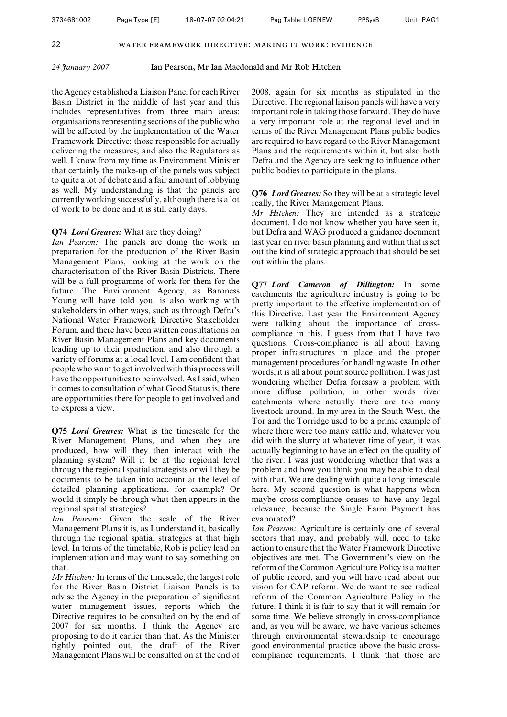the Agency established a Liaison Panel for each River Basin District in the middle of last year and this includes representatives from three main areas: organisations representing sections of the public who will be affected by the implementation of the Water Framework Directive; those responsible for actually delivering the measures; and also the Regulators as well. I know from my time as Environment Minister that certainly the make-up of the panels was subject to quite a lot of debate and a fair amount of lobbying as well. My understanding is that the panels are currently working successfully, although there is a lot of work to be done and it is still early days.

#### **Q74** *Lord Greaves:* What are they doing?

*Ian Pearson:* The panels are doing the work in preparation for the production of the River Basin Management Plans, looking at the work on the characterisation of the River Basin Districts. There will be a full programme of work for them for the future. The Environment Agency, as Baroness Young will have told you, is also working with stakeholders in other ways, such as through Defra's National Water Framework Directive Stakeholder Forum, and there have been written consultations on River Basin Management Plans and key documents leading up to their production, and also through a variety of forums at a local level. I am confident that people who want to get involved with this process will have the opportunities to be involved. As I said, when it comes to consultation of what Good Status is, there are opportunities there for people to get involved and to express a view.

**Q75** *Lord Greaves:* What is the timescale for the River Management Plans, and when they are produced, how will they then interact with the planning system? Will it be at the regional level through the regional spatial strategists or will they be documents to be taken into account at the level of detailed planning applications, for example? Or would it simply be through what then appears in the regional spatial strategies?

*Ian Pearson:* Given the scale of the River Management Plans it is, as I understand it, basically through the regional spatial strategies at that high level. In terms of the timetable, Rob is policy lead on implementation and may want to say something on that.

*Mr Hitchen:* In terms of the timescale, the largest role for the River Basin District Liaison Panels is to advise the Agency in the preparation of significant water management issues, reports which the Directive requires to be consulted on by the end of 2007 for six months. I think the Agency are proposing to do it earlier than that. As the Minister rightly pointed out, the draft of the River Management Plans will be consulted on at the end of 2008, again for six months as stipulated in the Directive. The regional liaison panels will have a very important role in taking those forward. They do have a very important role at the regional level and in terms of the River Management Plans public bodies are required to have regard to the River Management Plans and the requirements within it, but also both Defra and the Agency are seeking to influence other public bodies to participate in the plans.

**Q76** *Lord Greaves:* So they will be at a strategic level really, the River Management Plans.

*Mr Hitchen:* They are intended as a strategic document. I do not know whether you have seen it, but Defra and WAG produced a guidance document last year on river basin planning and within that is set out the kind of strategic approach that should be set out within the plans.

**Q77** *Lord Cameron of Dillington:* In some catchments the agriculture industry is going to be pretty important to the effective implementation of this Directive. Last year the Environment Agency were talking about the importance of crosscompliance in this. I guess from that I have two questions. Cross-compliance is all about having proper infrastructures in place and the proper management procedures for handling waste. In other words, it is all about point source pollution. I was just wondering whether Defra foresaw a problem with more diffuse pollution, in other words river catchments where actually there are too many livestock around. In my area in the South West, the Tor and the Torridge used to be a prime example of where there were too many cattle and, whatever you did with the slurry at whatever time of year, it was actually beginning to have an effect on the quality of the river. I was just wondering whether that was a problem and how you think you may be able to deal with that. We are dealing with quite a long timescale here. My second question is what happens when maybe cross-compliance ceases to have any legal relevance, because the Single Farm Payment has evaporated?

*Ian Pearson:* Agriculture is certainly one of several sectors that may, and probably will, need to take action to ensure that the Water Framework Directive objectives are met. The Government's view on the reform of the Common Agriculture Policy is a matter of public record, and you will have read about our vision for CAP reform. We do want to see radical reform of the Common Agriculture Policy in the future. I think it is fair to say that it will remain for some time. We believe strongly in cross-compliance and, as you will be aware, we have various schemes through environmental stewardship to encourage good environmental practice above the basic crosscompliance requirements. I think that those are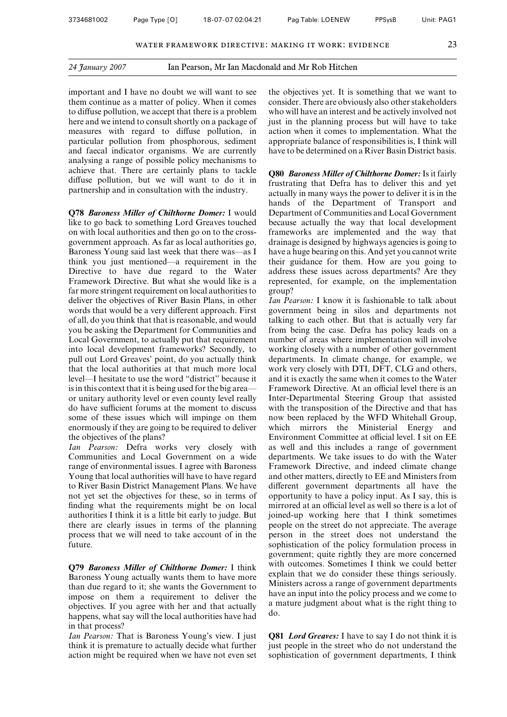important and I have no doubt we will want to see them continue as a matter of policy. When it comes to diffuse pollution, we accept that there is a problem here and we intend to consult shortly on a package of measures with regard to diffuse pollution, in particular pollution from phosphorous, sediment and faecal indicator organisms. We are currently analysing a range of possible policy mechanisms to achieve that. There are certainly plans to tackle diffuse pollution, but we will want to do it in partnership and in consultation with the industry.

**Q78** *Baroness Miller of Chilthorne Domer:* I would like to go back to something Lord Greaves touched on with local authorities and then go on to the crossgovernment approach. As far as local authorities go, Baroness Young said last week that there was—as I think you just mentioned—a requirement in the Directive to have due regard to the Water Framework Directive. But what she would like is a far more stringent requirement on local authorities to deliver the objectives of River Basin Plans, in other words that would be a very different approach. First of all, do you think that that is reasonable, and would you be asking the Department for Communities and Local Government, to actually put that requirement into local development frameworks? Secondly, to pull out Lord Greaves' point, do you actually think that the local authorities at that much more local level—I hesitate to use the word "district" because it is in this context that it is being used for the big area or unitary authority level or even county level really do have sufficient forums at the moment to discuss some of these issues which will impinge on them enormously if they are going to be required to deliver the objectives of the plans?

*Ian Pearson:* Defra works very closely with Communities and Local Government on a wide range of environmental issues. I agree with Baroness Young that local authorities will have to have regard to River Basin District Management Plans. We have not yet set the objectives for these, so in terms of finding what the requirements might be on local authorities I think it is a little bit early to judge. But there are clearly issues in terms of the planning process that we will need to take account of in the future.

**Q79** *Baroness Miller of Chilthorne Domer:* I think Baroness Young actually wants them to have more than due regard to it; she wants the Government to impose on them a requirement to deliver the objectives. If you agree with her and that actually happens, what say will the local authorities have had in that process?

*Ian Pearson:* That is Baroness Young's view. I just think it is premature to actually decide what further action might be required when we have not even set the objectives yet. It is something that we want to consider. There are obviously also other stakeholders who will have an interest and be actively involved not just in the planning process but will have to take action when it comes to implementation. What the appropriate balance of responsibilities is, I think will have to be determined on a River Basin District basis.

**Q80** *Baroness Miller of Chilthorne Domer:* Is it fairly frustrating that Defra has to deliver this and yet actually in many ways the power to deliver it is in the hands of the Department of Transport and Department of Communities and Local Government because actually the way that local development frameworks are implemented and the way that drainage is designed by highways agencies is going to have a huge bearing on this. And yet you cannot write their guidance for them. How are you going to address these issues across departments? Are they represented, for example, on the implementation group?

*Ian Pearson:* I know it is fashionable to talk about government being in silos and departments not talking to each other. But that is actually very far from being the case. Defra has policy leads on a number of areas where implementation will involve working closely with a number of other government departments. In climate change, for example, we work very closely with DTI, DFT, CLG and others, and it is exactly the same when it comes to the Water Framework Directive. At an official level there is an Inter-Departmental Steering Group that assisted with the transposition of the Directive and that has now been replaced by the WFD Whitehall Group, which mirrors the Ministerial Energy and Environment Committee at official level. I sit on EE as well and this includes a range of government departments. We take issues to do with the Water Framework Directive, and indeed climate change and other matters, directly to EE and Ministers from different government departments all have the opportunity to have a policy input. As I say, this is mirrored at an official level as well so there is a lot of joined-up working here that I think sometimes people on the street do not appreciate. The average person in the street does not understand the sophistication of the policy formulation process in government; quite rightly they are more concerned with outcomes. Sometimes I think we could better explain that we do consider these things seriously. Ministers across a range of government departments have an input into the policy process and we come to a mature judgment about what is the right thing to do.

**Q81** *Lord Greaves:* I have to say I do not think it is just people in the street who do not understand the sophistication of government departments, I think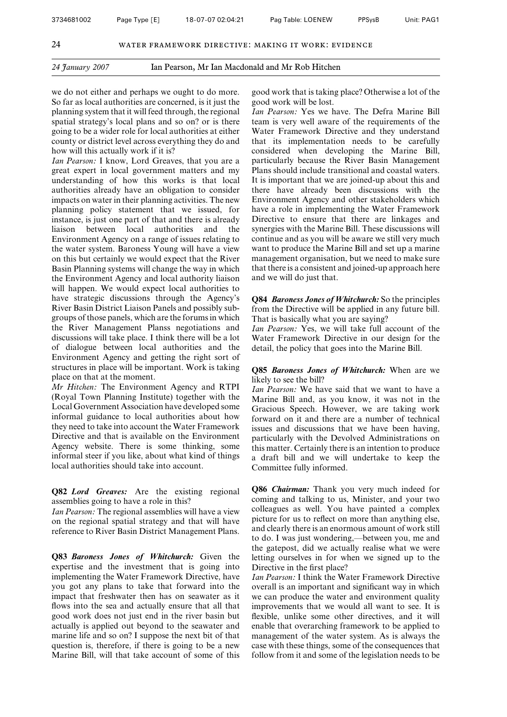we do not either and perhaps we ought to do more. So far as local authorities are concerned, is it just the planning system that it will feed through, the regional spatial strategy's local plans and so on? or is there going to be a wider role for local authorities at either county or district level across everything they do and how will this actually work if it is?

*Ian Pearson:* I know, Lord Greaves, that you are a great expert in local government matters and my understanding of how this works is that local authorities already have an obligation to consider impacts on water in their planning activities. The new planning policy statement that we issued, for instance, is just one part of that and there is already liaison between local authorities and the Environment Agency on a range of issues relating to the water system. Baroness Young will have a view on this but certainly we would expect that the River Basin Planning systems will change the way in which the Environment Agency and local authority liaison will happen. We would expect local authorities to have strategic discussions through the Agency's River Basin District Liaison Panels and possibly subgroups of those panels, which are the forums in which the River Management Planss negotiations and discussions will take place. I think there will be a lot of dialogue between local authorities and the Environment Agency and getting the right sort of structures in place will be important. Work is taking place on that at the moment.

*Mr Hitchen:* The Environment Agency and RTPI (Royal Town Planning Institute) together with the Local Government Association have developed some informal guidance to local authorities about how they need to take into account the Water Framework Directive and that is available on the Environment Agency website. There is some thinking, some informal steer if you like, about what kind of things local authorities should take into account.

**Q82** *Lord Greaves:* Are the existing regional assemblies going to have a role in this?

*Ian Pearson:* The regional assemblies will have a view on the regional spatial strategy and that will have reference to River Basin District Management Plans.

**Q83** *Baroness Jones of Whitchurch:* Given the expertise and the investment that is going into implementing the Water Framework Directive, have you got any plans to take that forward into the impact that freshwater then has on seawater as it flows into the sea and actually ensure that all that good work does not just end in the river basin but actually is applied out beyond to the seawater and marine life and so on? I suppose the next bit of that question is, therefore, if there is going to be a new Marine Bill, will that take account of some of this

good work that is taking place? Otherwise a lot of the good work will be lost.

*Ian Pearson:* Yes we have. The Defra Marine Bill team is very well aware of the requirements of the Water Framework Directive and they understand that its implementation needs to be carefully considered when developing the Marine Bill, particularly because the River Basin Management Plans should include transitional and coastal waters. It is important that we are joined-up about this and there have already been discussions with the Environment Agency and other stakeholders which have a role in implementing the Water Framework Directive to ensure that there are linkages and synergies with the Marine Bill. These discussions will continue and as you will be aware we still very much want to produce the Marine Bill and set up a marine management organisation, but we need to make sure that there is a consistent and joined-up approach here and we will do just that.

**Q84** *Baroness Jones of Whitchurch:* So the principles from the Directive will be applied in any future bill. That is basically what you are saying?

*Ian Pearson:* Yes, we will take full account of the Water Framework Directive in our design for the detail, the policy that goes into the Marine Bill.

**Q85** *Baroness Jones of Whitchurch:* When are we likely to see the bill?

*Ian Pearson:* We have said that we want to have a Marine Bill and, as you know, it was not in the Gracious Speech. However, we are taking work forward on it and there are a number of technical issues and discussions that we have been having, particularly with the Devolved Administrations on this matter. Certainly there is an intention to produce a draft bill and we will undertake to keep the Committee fully informed.

**Q86** *Chairman:* Thank you very much indeed for coming and talking to us, Minister, and your two colleagues as well. You have painted a complex picture for us to reflect on more than anything else, and clearly there is an enormous amount of work still to do. I was just wondering,—between you, me and the gatepost, did we actually realise what we were letting ourselves in for when we signed up to the Directive in the first place?

*Ian Pearson:* I think the Water Framework Directive overall is an important and significant way in which we can produce the water and environment quality improvements that we would all want to see. It is flexible, unlike some other directives, and it will enable that overarching framework to be applied to management of the water system. As is always the case with these things, some of the consequences that follow from it and some of the legislation needs to be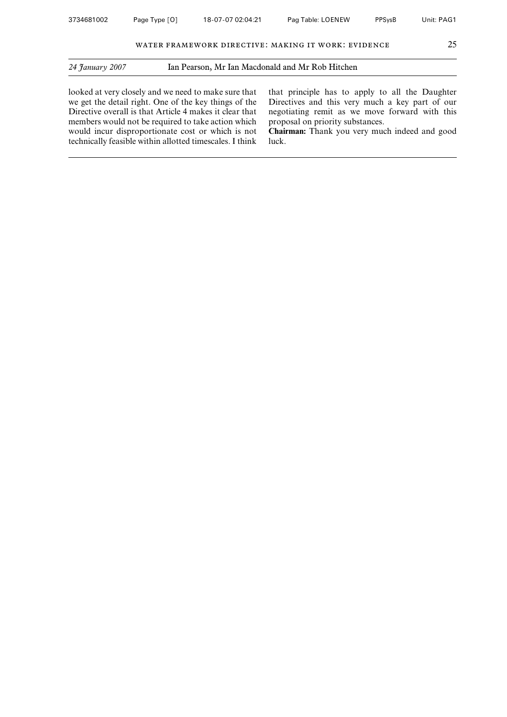looked at very closely and we need to make sure that we get the detail right. One of the key things of the Directive overall is that Article 4 makes it clear that members would not be required to take action which would incur disproportionate cost or which is not technically feasible within allotted timescales. I think

that principle has to apply to all the Daughter Directives and this very much a key part of our negotiating remit as we move forward with this proposal on priority substances.

**Chairman:** Thank you very much indeed and good luck.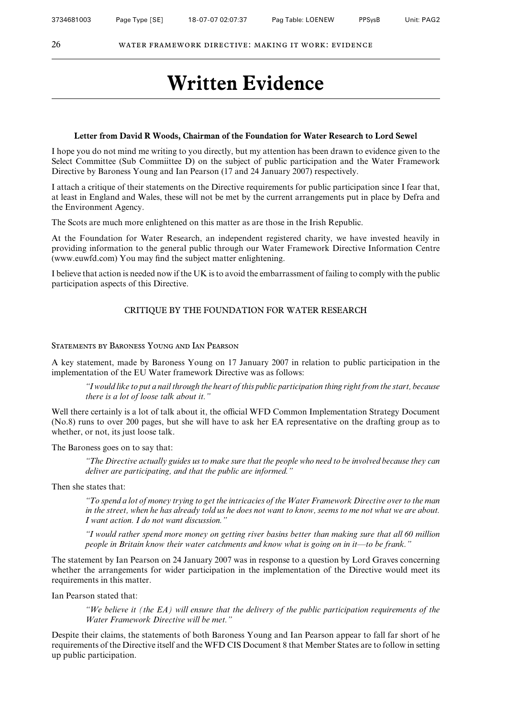## **Written Evidence**

#### **Letter from David R Woods, Chairman of the Foundation for Water Research to Lord Sewel**

I hope you do not mind me writing to you directly, but my attention has been drawn to evidence given to the Select Committee (Sub Committee D) on the subject of public participation and the Water Framework Directive by Baroness Young and Ian Pearson (17 and 24 January 2007) respectively.

I attach a critique of their statements on the Directive requirements for public participation since I fear that, at least in England and Wales, these will not be met by the current arrangements put in place by Defra and the Environment Agency.

The Scots are much more enlightened on this matter as are those in the Irish Republic.

At the Foundation for Water Research, an independent registered charity, we have invested heavily in providing information to the general public through our Water Framework Directive Information Centre (www.euwfd.com) You may find the subject matter enlightening.

I believe that action is needed now if the UK is to avoid the embarrassment of failing to comply with the public participation aspects of this Directive.

#### CRITIQUE BY THE FOUNDATION FOR WATER RESEARCH

#### Statements by Baroness Young and Ian Pearson

A key statement, made by Baroness Young on 17 January 2007 in relation to public participation in the implementation of the EU Water framework Directive was as follows:

*"I would like to put a nail through the heart of this public participation thing right from the start, because there is a lot of loose talk about it."*

Well there certainly is a lot of talk about it, the official WFD Common Implementation Strategy Document (No.8) runs to over 200 pages, but she will have to ask her EA representative on the drafting group as to whether, or not, its just loose talk.

The Baroness goes on to say that:

*"The Directive actually guides us to make sure that the people who need to be involved because they can deliver are participating, and that the public are informed."*

Then she states that:

*"To spend a lot of money trying to get the intricacies of the Water Framework Directive over to the man in the street, when he has already told us he does not want to know, seems to me not what we are about. I want action. I do not want discussion."*

*"I would rather spend more money on getting river basins better than making sure that all 60 million people in Britain know their water catchments and know what is going on in it—to be frank."*

The statement by Ian Pearson on 24 January 2007 was in response to a question by Lord Graves concerning whether the arrangements for wider participation in the implementation of the Directive would meet its requirements in this matter.

Ian Pearson stated that:

*"We believe it (the EA) will ensure that the delivery of the public participation requirements of the Water Framework Directive will be met."*

Despite their claims, the statements of both Baroness Young and Ian Pearson appear to fall far short of he requirements of the Directive itself and the WFD CIS Document 8 that Member States are to follow in setting up public participation.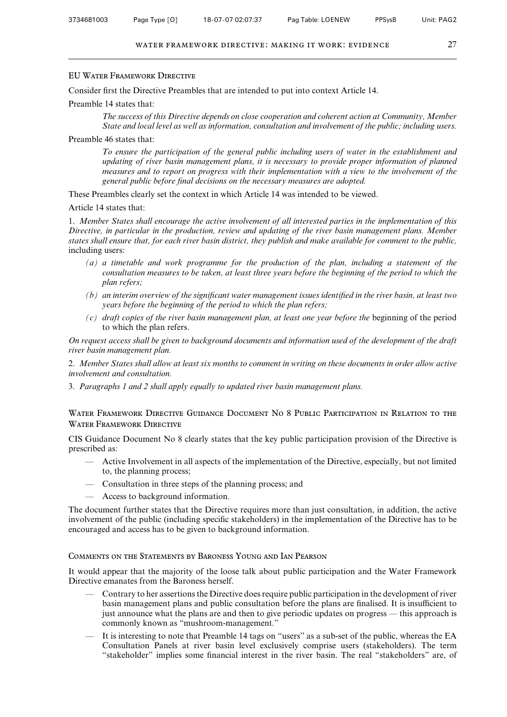#### EU Water Framework Directive

Consider first the Directive Preambles that are intended to put into context Article 14.

#### Preamble 14 states that:

*The success of this Directive depends on close cooperation and coherent action at Community, Member State and local level as well as information, consultation and involvement of the public; including users.*

#### Preamble 46 states that:

*To ensure the participation of the general public including users of water in the establishment and updating of river basin management plans, it is necessary to provide proper information of planned measures and to report on progress with their implementation with a view to the involvement of the general public before final decisions on the necessary measures are adopted.*

These Preambles clearly set the context in which Article 14 was intended to be viewed.

Article 14 states that:

1. *Member States shall encourage the active involvement of all interested parties in the implementation of this Directive, in particular in the production, review and updating of the river basin management plans. Member states shall ensure that, for each river basin district, they publish and make available for comment to the public,* including users:

- *(a) a timetable and work programme for the production of the plan, including a statement of the consultation measures to be taken, at least three years before the beginning of the period to which the plan refers;*
- *(b) an interim overview of the significant water management issues identified in the river basin, at least two years before the beginning of the period to which the plan refers;*
- *(c) draft copies of the river basin management plan, at least one year before the* beginning of the period to which the plan refers.

*On request access shall be given to background documents and information used of the development of the draft river basin management plan.*

2. *Member States shall allow at least six months to comment in writing on these documents in order allow active involvement and consultation.*

3. *Paragraphs 1 and 2 shall apply equally to updated river basin management plans.*

Water Framework Directive Guidance Document No 8 Public Participation in Relation to the WATER FRAMEWORK DIRECTIVE

CIS Guidance Document No 8 clearly states that the key public participation provision of the Directive is prescribed as:

- Active Involvement in all aspects of the implementation of the Directive, especially, but not limited to, the planning process;
- Consultation in three steps of the planning process; and
- Access to background information.

The document further states that the Directive requires more than just consultation, in addition, the active involvement of the public (including specific stakeholders) in the implementation of the Directive has to be encouraged and access has to be given to background information.

#### Comments on the Statements by Baroness Young and Ian Pearson

It would appear that the majority of the loose talk about public participation and the Water Framework Directive emanates from the Baroness herself.

- Contrary to her assertions the Directive does require public participation in the development of river basin management plans and public consultation before the plans are finalised. It is insufficient to just announce what the plans are and then to give periodic updates on progress — this approach is commonly known as "mushroom-management."
- It is interesting to note that Preamble 14 tags on "users" as a sub-set of the public, whereas the EA Consultation Panels at river basin level exclusively comprise users (stakeholders). The term "stakeholder" implies some financial interest in the river basin. The real "stakeholders" are, of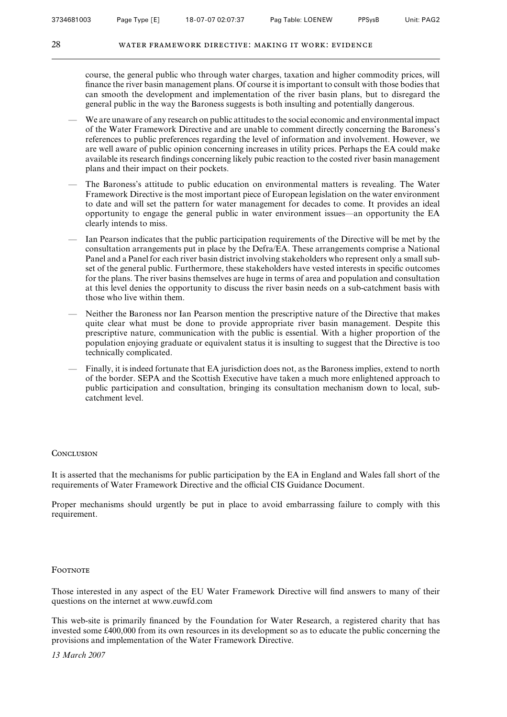course, the general public who through water charges, taxation and higher commodity prices, will finance the river basin management plans. Of course it is important to consult with those bodies that can smooth the development and implementation of the river basin plans, but to disregard the general public in the way the Baroness suggests is both insulting and potentially dangerous.

- We are unaware of any research on public attitudes to the social economic and environmental impact of the Water Framework Directive and are unable to comment directly concerning the Baroness's references to public preferences regarding the level of information and involvement. However, we are well aware of public opinion concerning increases in utility prices. Perhaps the EA could make available its research findings concerning likely pubic reaction to the costed river basin management plans and their impact on their pockets.
- The Baroness's attitude to public education on environmental matters is revealing. The Water Framework Directive is the most important piece of European legislation on the water environment to date and will set the pattern for water management for decades to come. It provides an ideal opportunity to engage the general public in water environment issues—an opportunity the EA clearly intends to miss.
- Ian Pearson indicates that the public participation requirements of the Directive will be met by the consultation arrangements put in place by the Defra/EA. These arrangements comprise a National Panel and a Panel for each river basin district involving stakeholders who represent only a small subset of the general public. Furthermore, these stakeholders have vested interests in specific outcomes for the plans. The river basins themselves are huge in terms of area and population and consultation at this level denies the opportunity to discuss the river basin needs on a sub-catchment basis with those who live within them.
- Neither the Baroness nor Ian Pearson mention the prescriptive nature of the Directive that makes quite clear what must be done to provide appropriate river basin management. Despite this prescriptive nature, communication with the public is essential. With a higher proportion of the population enjoying graduate or equivalent status it is insulting to suggest that the Directive is too technically complicated.
- Finally, it is indeed fortunate that EA jurisdiction does not, as the Baroness implies, extend to north of the border. SEPA and the Scottish Executive have taken a much more enlightened approach to public participation and consultation, bringing its consultation mechanism down to local, subcatchment level.

#### **CONCLUSION**

It is asserted that the mechanisms for public participation by the EA in England and Wales fall short of the requirements of Water Framework Directive and the official CIS Guidance Document.

Proper mechanisms should urgently be put in place to avoid embarrassing failure to comply with this requirement.

#### **FOOTNOTE**

Those interested in any aspect of the EU Water Framework Directive will find answers to many of their questions on the internet at www.euwfd.com

This web-site is primarily financed by the Foundation for Water Research, a registered charity that has invested some £400,000 from its own resources in its development so as to educate the public concerning the provisions and implementation of the Water Framework Directive.

*13 March 2007*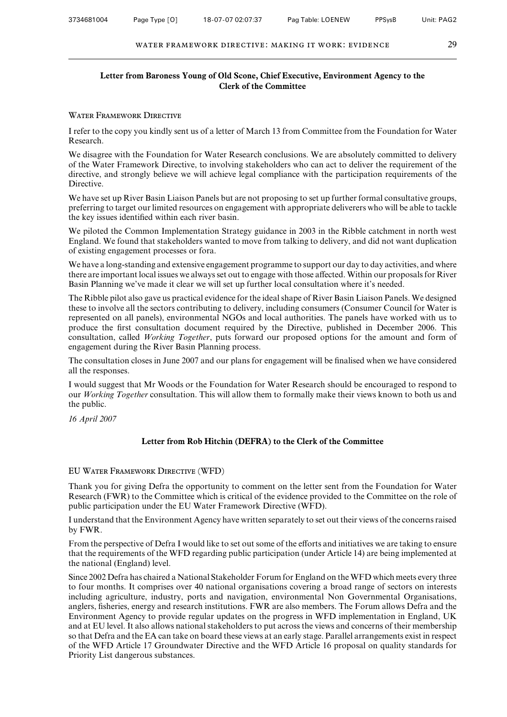#### **Letter from Baroness Young of Old Scone, Chief Executive, Environment Agency to the Clerk of the Committee**

#### WATER FRAMEWORK DIRECTIVE

I refer to the copy you kindly sent us of a letter of March 13 from Committee from the Foundation for Water Research.

We disagree with the Foundation for Water Research conclusions. We are absolutely committed to delivery of the Water Framework Directive, to involving stakeholders who can act to deliver the requirement of the directive, and strongly believe we will achieve legal compliance with the participation requirements of the Directive.

We have set up River Basin Liaison Panels but are not proposing to set up further formal consultative groups, preferring to target our limited resources on engagement with appropriate deliverers who will be able to tackle the key issues identified within each river basin.

We piloted the Common Implementation Strategy guidance in 2003 in the Ribble catchment in north west England. We found that stakeholders wanted to move from talking to delivery, and did not want duplication of existing engagement processes or fora.

We have a long-standing and extensive engagement programme to support our day to day activities, and where there are important local issues we always set out to engage with those affected. Within our proposals for River Basin Planning we've made it clear we will set up further local consultation where it's needed.

The Ribble pilot also gave us practical evidence for the ideal shape of River Basin Liaison Panels. We designed these to involve all the sectors contributing to delivery, including consumers (Consumer Council for Water is represented on all panels), environmental NGOs and local authorities. The panels have worked with us to produce the first consultation document required by the Directive, published in December 2006. This consultation, called *Working Together*, puts forward our proposed options for the amount and form of engagement during the River Basin Planning process.

The consultation closes in June 2007 and our plans for engagement will be finalised when we have considered all the responses.

I would suggest that Mr Woods or the Foundation for Water Research should be encouraged to respond to our *Working Together* consultation. This will allow them to formally make their views known to both us and the public.

*16 April 2007*

#### **Letter from Rob Hitchin (DEFRA) to the Clerk of the Committee**

#### EU Water Framework Directive (WFD)

Thank you for giving Defra the opportunity to comment on the letter sent from the Foundation for Water Research (FWR) to the Committee which is critical of the evidence provided to the Committee on the role of public participation under the EU Water Framework Directive (WFD).

I understand that the Environment Agency have written separately to set out their views of the concerns raised by FWR.

From the perspective of Defra I would like to set out some of the efforts and initiatives we are taking to ensure that the requirements of the WFD regarding public participation (under Article 14) are being implemented at the national (England) level.

Since 2002 Defra has chaired a National Stakeholder Forum for England on the WFD which meets every three to four months. It comprises over 40 national organisations covering a broad range of sectors on interests including agriculture, industry, ports and navigation, environmental Non Governmental Organisations, anglers, fisheries, energy and research institutions. FWR are also members. The Forum allows Defra and the Environment Agency to provide regular updates on the progress in WFD implementation in England, UK and at EU level. It also allows national stakeholders to put across the views and concerns of their membership so that Defra and the EA can take on board these views at an early stage. Parallel arrangements exist in respect of the WFD Article 17 Groundwater Directive and the WFD Article 16 proposal on quality standards for Priority List dangerous substances.